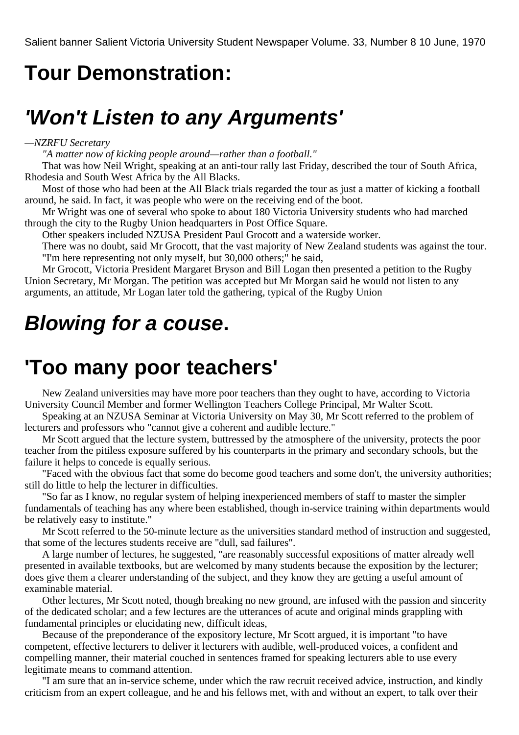### **Tour Demonstration:**

## **'Won't Listen to any Arguments'**

#### *—NZRFU Secretary*

*"A matter now of kicking people around—rather than a football."*

That was how Neil Wright, speaking at an anti-tour rally last Friday, described the tour of South Africa, Rhodesia and South West Africa by the All Blacks.

Most of those who had been at the All Black trials regarded the tour as just a matter of kicking a football around, he said. In fact, it was people who were on the receiving end of the boot.

Mr Wright was one of several who spoke to about 180 Victoria University students who had marched through the city to the Rugby Union headquarters in Post Office Square.

Other speakers included NZUSA President Paul Grocott and a waterside worker.

There was no doubt, said Mr Grocott, that the vast majority of New Zealand students was against the tour. "I'm here representing not only myself, but 30,000 others;" he said,

Mr Grocott, Victoria President Margaret Bryson and Bill Logan then presented a petition to the Rugby Union Secretary, Mr Morgan. The petition was accepted but Mr Morgan said he would not listen to any arguments, an attitude, Mr Logan later told the gathering, typical of the Rugby Union

## **Blowing for a couse.**

### **'Too many poor teachers'**

New Zealand universities may have more poor teachers than they ought to have, according to Victoria University Council Member and former Wellington Teachers College Principal, Mr Walter Scott.

Speaking at an NZUSA Seminar at Victoria University on May 30, Mr Scott referred to the problem of lecturers and professors who "cannot give a coherent and audible lecture."

Mr Scott argued that the lecture system, buttressed by the atmosphere of the university, protects the poor teacher from the pitiless exposure suffered by his counterparts in the primary and secondary schools, but the failure it helps to concede is equally serious.

"Faced with the obvious fact that some do become good teachers and some don't, the university authorities; still do little to help the lecturer in difficulties.

"So far as I know, no regular system of helping inexperienced members of staff to master the simpler fundamentals of teaching has any where been established, though in-service training within departments would be relatively easy to institute."

Mr Scott referred to the 50-minute lecture as the universities standard method of instruction and suggested, that some of the lectures students receive are "dull, sad failures".

A large number of lectures, he suggested, "are reasonably successful expositions of matter already well presented in available textbooks, but are welcomed by many students because the exposition by the lecturer; does give them a clearer understanding of the subject, and they know they are getting a useful amount of examinable material.

Other lectures, Mr Scott noted, though breaking no new ground, are infused with the passion and sincerity of the dedicated scholar; and a few lectures are the utterances of acute and original minds grappling with fundamental principles or elucidating new, difficult ideas,

Because of the preponderance of the expository lecture, Mr Scott argued, it is important "to have competent, effective lecturers to deliver it lecturers with audible, well-produced voices, a confident and compelling manner, their material couched in sentences framed for speaking lecturers able to use every legitimate means to command attention.

"I am sure that an in-service scheme, under which the raw recruit received advice, instruction, and kindly criticism from an expert colleague, and he and his fellows met, with and without an expert, to talk over their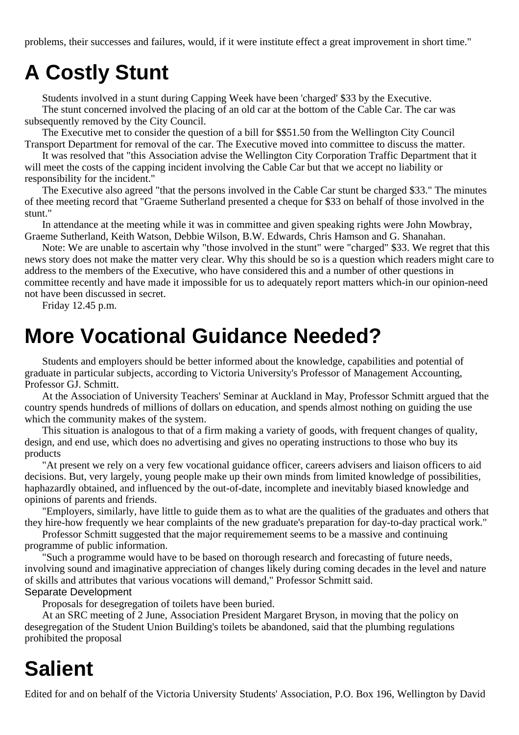problems, their successes and failures, would, if it were institute effect a great improvement in short time."

# **A Costly Stunt**

Students involved in a stunt during Capping Week have been 'charged' \$33 by the Executive.

The stunt concerned involved the placing of an old car at the bottom of the Cable Car. The car was subsequently removed by the City Council.

The Executive met to consider the question of a bill for \$\$51.50 from the Wellington City Council Transport Department for removal of the car. The Executive moved into committee to discuss the matter.

It was resolved that "this Association advise the Wellington City Corporation Traffic Department that it will meet the costs of the capping incident involving the Cable Car but that we accept no liability or responsibility for the incident."

The Executive also agreed "that the persons involved in the Cable Car stunt be charged \$33." The minutes of thee meeting record that "Graeme Sutherland presented a cheque for \$33 on behalf of those involved in the stunt."

In attendance at the meeting while it was in committee and given speaking rights were John Mowbray, Graeme Sutherland, Keith Watson, Debbie Wilson, B.W. Edwards, Chris Hamson and G. Shanahan.

Note: We are unable to ascertain why "those involved in the stunt" were "charged" \$33. We regret that this news story does not make the matter very clear. Why this should be so is a question which readers might care to address to the members of the Executive, who have considered this and a number of other questions in committee recently and have made it impossible for us to adequately report matters which-in our opinion-need not have been discussed in secret.

Friday 12.45 p.m.

## **More Vocational Guidance Needed?**

Students and employers should be better informed about the knowledge, capabilities and potential of graduate in particular subjects, according to Victoria University's Professor of Management Accounting, Professor GJ. Schmitt.

At the Association of University Teachers' Seminar at Auckland in May, Professor Schmitt argued that the country spends hundreds of millions of dollars on education, and spends almost nothing on guiding the use which the community makes of the system.

This situation is analogous to that of a firm making a variety of goods, with frequent changes of quality, design, and end use, which does no advertising and gives no operating instructions to those who buy its products

"At present we rely on a very few vocational guidance officer, careers advisers and liaison officers to aid decisions. But, very largely, young people make up their own minds from limited knowledge of possibilities, haphazardly obtained, and influenced by the out-of-date, incomplete and inevitably biased knowledge and opinions of parents and friends.

"Employers, similarly, have little to guide them as to what are the qualities of the graduates and others that they hire-how frequently we hear complaints of the new graduate's preparation for day-to-day practical work."

Professor Schmitt suggested that the major requiremement seems to be a massive and continuing programme of public information.

"Such a programme would have to be based on thorough research and forecasting of future needs, involving sound and imaginative appreciation of changes likely during coming decades in the level and nature of skills and attributes that various vocations will demand," Professor Schmitt said. Separate Development

Proposals for desegregation of toilets have been buried.

At an SRC meeting of 2 June, Association President Margaret Bryson, in moving that the policy on desegregation of the Student Union Building's toilets be abandoned, said that the plumbing regulations prohibited the proposal

# **Salient**

Edited for and on behalf of the Victoria University Students' Association, P.O. Box 196, Wellington by David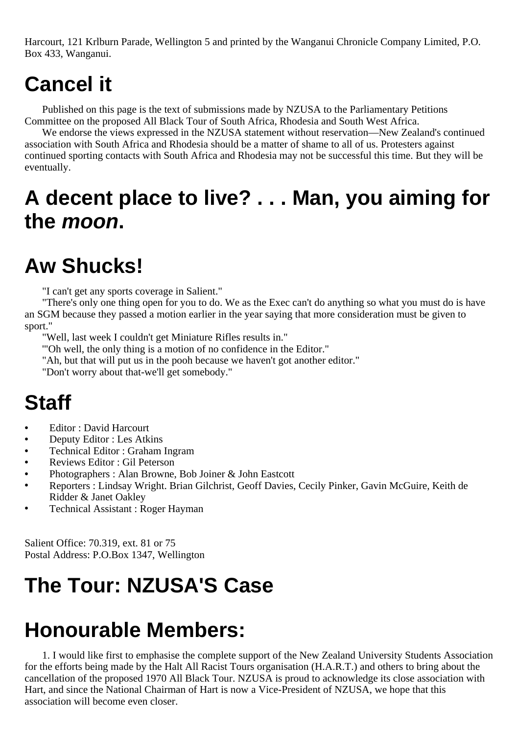Harcourt, 121 Krlburn Parade, Wellington 5 and printed by the Wanganui Chronicle Company Limited, P.O. Box 433, Wanganui.

# **Cancel it**

Published on this page is the text of submissions made by NZUSA to the Parliamentary Petitions Committee on the proposed All Black Tour of South Africa, Rhodesia and South West Africa.

We endorse the views expressed in the NZUSA statement without reservation—New Zealand's continued association with South Africa and Rhodesia should be a matter of shame to all of us. Protesters against continued sporting contacts with South Africa and Rhodesia may not be successful this time. But they will be eventually.

# **A decent place to live? . . . Man, you aiming for the moon.**

# **Aw Shucks!**

"I can't get any sports coverage in Salient."

"There's only one thing open for you to do. We as the Exec can't do anything so what you must do is have an SGM because they passed a motion earlier in the year saying that more consideration must be given to sport."

"Well, last week I couldn't get Miniature Rifles results in."

'"Oh well, the only thing is a motion of no confidence in the Editor."

"Ah, but that will put us in the pooh because we haven't got another editor."

"Don't worry about that-we'll get somebody."

### **Staff**

- **•** Editor : David Harcourt
- **•** Deputy Editor : Les Atkins
- **•** Technical Editor : Graham Ingram
- **•** Reviews Editor : Gil Peterson
- **•** Photographers : Alan Browne, Bob Joiner & John Eastcott
- **•** Reporters : Lindsay Wright. Brian Gilchrist, Geoff Davies, Cecily Pinker, Gavin McGuire, Keith de Ridder & Janet Oakley
- **•** Technical Assistant : Roger Hayman

Salient Office: 70.319, ext. 81 or 75 Postal Address: P.O.Box 1347, Wellington

# **The Tour: NZUSA'S Case**

### **Honourable Members:**

1. I would like first to emphasise the complete support of the New Zealand University Students Association for the efforts being made by the Halt All Racist Tours organisation (H.A.R.T.) and others to bring about the cancellation of the proposed 1970 All Black Tour. NZUSA is proud to acknowledge its close association with Hart, and since the National Chairman of Hart is now a Vice-President of NZUSA, we hope that this association will become even closer.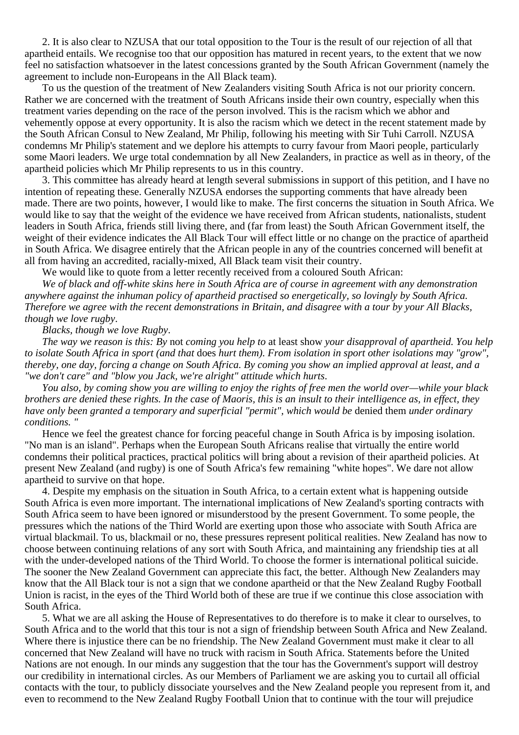2. It is also clear to NZUSA that our total opposition to the Tour is the result of our rejection of all that apartheid entails. We recognise too that our opposition has matured in recent years, to the extent that we now feel no satisfaction whatsoever in the latest concessions granted by the South African Government (namely the agreement to include non-Europeans in the All Black team).

To us the question of the treatment of New Zealanders visiting South Africa is not our priority concern. Rather we are concerned with the treatment of South Africans inside their own country, especially when this treatment varies depending on the race of the person involved. This is the racism which we abhor and vehemently oppose at every opportunity. It is also the racism which we detect in the recent statement made by the South African Consul to New Zealand, Mr Philip, following his meeting with Sir Tuhi Carroll. NZUSA condemns Mr Philip's statement and we deplore his attempts to curry favour from Maori people, particularly some Maori leaders. We urge total condemnation by all New Zealanders, in practice as well as in theory, of the apartheid policies which Mr Philip represents to us in this country.

3. This committee has already heard at length several submissions in support of this petition, and I have no intention of repeating these. Generally NZUSA endorses the supporting comments that have already been made. There are two points, however, I would like to make. The first concerns the situation in South Africa. We would like to say that the weight of the evidence we have received from African students, nationalists, student leaders in South Africa, friends still living there, and (far from least) the South African Government itself, the weight of their evidence indicates the All Black Tour will effect little or no change on the practice of apartheid in South Africa. We disagree entirely that the African people in any of the countries concerned will benefit at all from having an accredited, racially-mixed, All Black team visit their country.

We would like to quote from a letter recently received from a coloured South African:

*We of black and off-white skins here in South Africa are of course in agreement with any demonstration anywhere against the inhuman policy of apartheid practised so energetically, so lovingly by South Africa. Therefore we agree with the recent demonstrations in Britain, and disagree with a tour by your All Blacks, though we love rugby*.

*Blacks, though we love Rugby*.

*The way we reason is this: By* not *coming you help to* at least show *your disapproval of apartheid. You help to isolate South Africa in sport (and that* does *hurt them). From isolation in sport other isolations may "grow", thereby, one day, forcing a change on South Africa. By coming you show an implied approval at least, and a "we don't care" and "blow you Jack, we're alright" attitude which hurts*.

*You also, by coming show you are willing to enjoy the rights of free men the world over—while your black brothers are denied these rights. In the case of Maoris, this is an insult to their intelligence as, in effect, they have only been granted a temporary and superficial "permit", which would be* denied them *under ordinary conditions. "*

Hence we feel the greatest chance for forcing peaceful change in South Africa is by imposing isolation. "No man is an island". Perhaps when the European South Africans realise that virtually the entire world condemns their political practices, practical politics will bring about a revision of their apartheid policies. At present New Zealand (and rugby) is one of South Africa's few remaining "white hopes". We dare not allow apartheid to survive on that hope.

4. Despite my emphasis on the situation in South Africa, to a certain extent what is happening outside South Africa is even more important. The international implications of New Zealand's sporting contracts with South Africa seem to have been ignored or misunderstood by the present Government. To some people, the pressures which the nations of the Third World are exerting upon those who associate with South Africa are virtual blackmail. To us, blackmail or no, these pressures represent political realities. New Zealand has now to choose between continuing relations of any sort with South Africa, and maintaining any friendship ties at all with the under-developed nations of the Third World. To choose the former is international political suicide. The sooner the New Zealand Government can appreciate this fact, the better. Although New Zealanders may know that the All Black tour is not a sign that we condone apartheid or that the New Zealand Rugby Football Union is racist, in the eyes of the Third World both of these are true if we continue this close association with South Africa.

5. What we are all asking the House of Representatives to do therefore is to make it clear to ourselves, to South Africa and to the world that this tour is not a sign of friendship between South Africa and New Zealand. Where there is injustice there can be no friendship. The New Zealand Government must make it clear to all concerned that New Zealand will have no truck with racism in South Africa. Statements before the United Nations are not enough. In our minds any suggestion that the tour has the Government's support will destroy our credibility in international circles. As our Members of Parliament we are asking you to curtail all official contacts with the tour, to publicly dissociate yourselves and the New Zealand people you represent from it, and even to recommend to the New Zealand Rugby Football Union that to continue with the tour will prejudice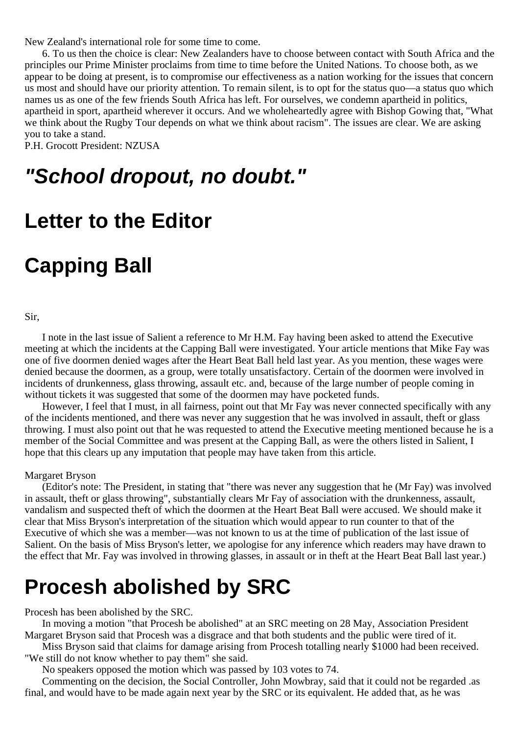New Zealand's international role for some time to come.

6. To us then the choice is clear: New Zealanders have to choose between contact with South Africa and the principles our Prime Minister proclaims from time to time before the United Nations. To choose both, as we appear to be doing at present, is to compromise our effectiveness as a nation working for the issues that concern us most and should have our priority attention. To remain silent, is to opt for the status quo—a status quo which names us as one of the few friends South Africa has left. For ourselves, we condemn apartheid in politics, apartheid in sport, apartheid wherever it occurs. And we wholeheartedly agree with Bishop Gowing that, "What we think about the Rugby Tour depends on what we think about racism". The issues are clear. We are asking you to take a stand.

P.H. Grocott President: NZUSA

### **"School dropout, no doubt."**

### **Letter to the Editor**

## **Capping Ball**

Sir,

I note in the last issue of Salient a reference to Mr H.M. Fay having been asked to attend the Executive meeting at which the incidents at the Capping Ball were investigated. Your article mentions that Mike Fay was one of five doormen denied wages after the Heart Beat Ball held last year. As you mention, these wages were denied because the doormen, as a group, were totally unsatisfactory. Certain of the doormen were involved in incidents of drunkenness, glass throwing, assault etc. and, because of the large number of people coming in without tickets it was suggested that some of the doormen may have pocketed funds.

However, I feel that I must, in all fairness, point out that Mr Fay was never connected specifically with any of the incidents mentioned, and there was never any suggestion that he was involved in assault, theft or glass throwing. I must also point out that he was requested to attend the Executive meeting mentioned because he is a member of the Social Committee and was present at the Capping Ball, as were the others listed in Salient, I hope that this clears up any imputation that people may have taken from this article.

#### Margaret Bryson

(Editor's note: The President, in stating that "there was never any suggestion that he (Mr Fay) was involved in assault, theft or glass throwing", substantially clears Mr Fay of association with the drunkenness, assault, vandalism and suspected theft of which the doormen at the Heart Beat Ball were accused. We should make it clear that Miss Bryson's interpretation of the situation which would appear to run counter to that of the Executive of which she was a member—was not known to us at the time of publication of the last issue of Salient. On the basis of Miss Bryson's letter, we apologise for any inference which readers may have drawn to the effect that Mr. Fay was involved in throwing glasses, in assault or in theft at the Heart Beat Ball last year.)

### **Procesh abolished by SRC**

Procesh has been abolished by the SRC.

In moving a motion "that Procesh be abolished" at an SRC meeting on 28 May, Association President Margaret Bryson said that Procesh was a disgrace and that both students and the public were tired of it.

Miss Bryson said that claims for damage arising from Procesh totalling nearly \$1000 had been received. "We still do not know whether to pay them" she said.

No speakers opposed the motion which was passed by 103 votes to 74.

Commenting on the decision, the Social Controller, John Mowbray, said that it could not be regarded .as final, and would have to be made again next year by the SRC or its equivalent. He added that, as he was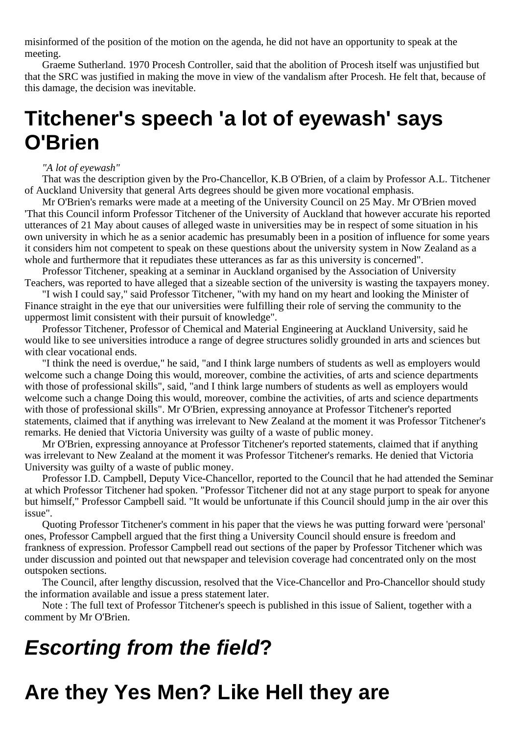misinformed of the position of the motion on the agenda, he did not have an opportunity to speak at the meeting.

Graeme Sutherland. 1970 Procesh Controller, said that the abolition of Procesh itself was unjustified but that the SRC was justified in making the move in view of the vandalism after Procesh. He felt that, because of this damage, the decision was inevitable.

### **Titchener's speech 'a lot of eyewash' says O'Brien**

*"A lot of eyewash"*

That was the description given by the Pro-Chancellor, K.B O'Brien, of a claim by Professor A.L. Titchener of Auckland University that general Arts degrees should be given more vocational emphasis.

Mr O'Brien's remarks were made at a meeting of the University Council on 25 May. Mr O'Brien moved 'That this Council inform Professor Titchener of the University of Auckland that however accurate his reported utterances of 21 May about causes of alleged waste in universities may be in respect of some situation in his own university in which he as a senior academic has presumably been in a position of influence for some years it considers him not competent to speak on these questions about the university system in Now Zealand as a whole and furthermore that it repudiates these utterances as far as this university is concerned".

Professor Titchener, speaking at a seminar in Auckland organised by the Association of University Teachers, was reported to have alleged that a sizeable section of the university is wasting the taxpayers money.

"I wish I could say," said Professor Titchener, "with my hand on my heart and looking the Minister of Finance straight in the eye that our universities were fulfilling their role of serving the community to the uppermost limit consistent with their pursuit of knowledge".

Professor Titchener, Professor of Chemical and Material Engineering at Auckland University, said he would like to see universities introduce a range of degree structures solidly grounded in arts and sciences but with clear vocational ends.

"I think the need is overdue," he said, "and I think large numbers of students as well as employers would welcome such a change Doing this would, moreover, combine the activities, of arts and science departments with those of professional skills", said, "and I think large numbers of students as well as employers would welcome such a change Doing this would, moreover, combine the activities, of arts and science departments with those of professional skills". Mr O'Brien, expressing annoyance at Professor Titchener's reported statements, claimed that if anything was irrelevant to New Zealand at the moment it was Professor Titchener's remarks. He denied that Victoria University was guilty of a waste of public money.

Mr O'Brien, expressing annoyance at Professor Titchener's reported statements, claimed that if anything was irrelevant to New Zealand at the moment it was Professor Titchener's remarks. He denied that Victoria University was guilty of a waste of public money.

Professor I.D. Campbell, Deputy Vice-Chancellor, reported to the Council that he had attended the Seminar at which Professor Titchener had spoken. "Professor Titchener did not at any stage purport to speak for anyone but himself," Professor Campbell said. "It would be unfortunate if this Council should jump in the air over this issue".

Quoting Professor Titchener's comment in his paper that the views he was putting forward were 'personal' ones, Professor Campbell argued that the first thing a University Council should ensure is freedom and frankness of expression. Professor Campbell read out sections of the paper by Professor Titchener which was under discussion and pointed out that newspaper and television coverage had concentrated only on the most outspoken sections.

The Council, after lengthy discussion, resolved that the Vice-Chancellor and Pro-Chancellor should study the information available and issue a press statement later.

Note : The full text of Professor Titchener's speech is published in this issue of Salient, together with a comment by Mr O'Brien.

# **Escorting from the field?**

# **Are they Yes Men? Like Hell they are**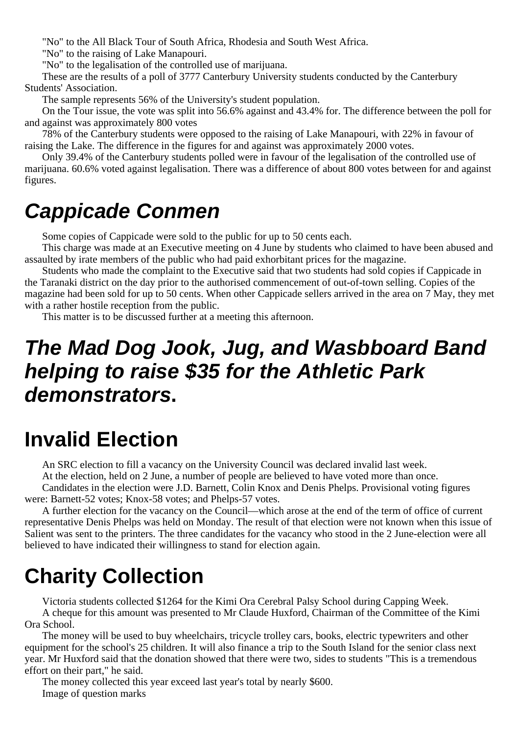"No" to the All Black Tour of South Africa, Rhodesia and South West Africa.

"No" to the raising of Lake Manapouri.

"No" to the legalisation of the controlled use of marijuana.

These are the results of a poll of 3777 Canterbury University students conducted by the Canterbury Students' Association.

The sample represents 56% of the University's student population.

On the Tour issue, the vote was split into 56.6% against and 43.4% for. The difference between the poll for and against was approximately 800 votes

78% of the Canterbury students were opposed to the raising of Lake Manapouri, with 22% in favour of raising the Lake. The difference in the figures for and against was approximately 2000 votes.

Only 39.4% of the Canterbury students polled were in favour of the legalisation of the controlled use of marijuana. 60.6% voted against legalisation. There was a difference of about 800 votes between for and against figures.

## **Cappicade Conmen**

Some copies of Cappicade were sold to the public for up to 50 cents each.

This charge was made at an Executive meeting on 4 June by students who claimed to have been abused and assaulted by irate members of the public who had paid exhorbitant prices for the magazine.

Students who made the complaint to the Executive said that two students had sold copies if Cappicade in the Taranaki district on the day prior to the authorised commencement of out-of-town selling. Copies of the magazine had been sold for up to 50 cents. When other Cappicade sellers arrived in the area on 7 May, they met with a rather hostile reception from the public.

This matter is to be discussed further at a meeting this afternoon.

### **The Mad Dog Jook, Jug, and Wasbboard Band helping to raise \$35 for the Athletic Park demonstrators.**

### **Invalid Election**

An SRC election to fill a vacancy on the University Council was declared invalid last week.

At the election, held on 2 June, a number of people are believed to have voted more than once.

Candidates in the election were J.D. Barnett, Colin Knox and Denis Phelps. Provisional voting figures were: Barnett-52 votes; Knox-58 votes; and Phelps-57 votes.

A further election for the vacancy on the Council—which arose at the end of the term of office of current representative Denis Phelps was held on Monday. The result of that election were not known when this issue of Salient was sent to the printers. The three candidates for the vacancy who stood in the 2 June-election were all believed to have indicated their willingness to stand for election again.

# **Charity Collection**

Victoria students collected \$1264 for the Kimi Ora Cerebral Palsy School during Capping Week.

A cheque for this amount was presented to Mr Claude Huxford, Chairman of the Committee of the Kimi Ora School.

The money will be used to buy wheelchairs, tricycle trolley cars, books, electric typewriters and other equipment for the school's 25 children. It will also finance a trip to the South Island for the senior class next year. Mr Huxford said that the donation showed that there were two, sides to students "This is a tremendous effort on their part," he said.

The money collected this year exceed last year's total by nearly \$600. Image of question marks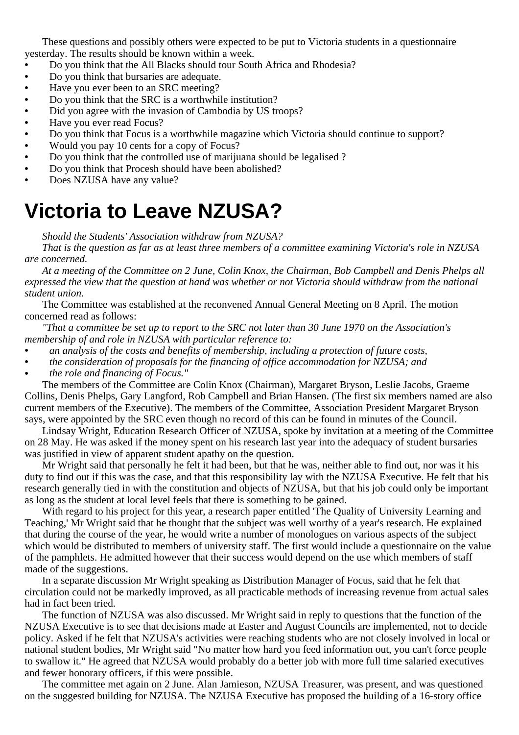These questions and possibly others were expected to be put to Victoria students in a questionnaire yesterday. The results should be known within a week.

- **•** Do you think that the All Blacks should tour South Africa and Rhodesia?
- **•** Do you think that bursaries are adequate.
- **•** Have you ever been to an SRC meeting?
- **•** Do you think that the SRC is a worthwhile institution?
- Did you agree with the invasion of Cambodia by US troops?
- Have you ever read Focus?<br>• Do you think that Focus is a
- **•** Do you think that Focus is a worthwhile magazine which Victoria should continue to support?
- **•** Would you pay 10 cents for a copy of Focus?
- **•** Do you think that the controlled use of marijuana should be legalised ?
- **•** Do you think that Procesh should have been abolished?
- **•** Does NZUSA have any value?

## **Victoria to Leave NZUSA?**

*Should the Students' Association withdraw from NZUSA?*

*That is the question as far as at least three members of a committee examining Victoria's role in NZUSA are concerned.*

*At a meeting of the Committee on 2 June, Colin Knox, the Chairman, Bob Campbell and Denis Phelps all expressed the view that the question at hand was whether or not Victoria should withdraw from the national student union.*

The Committee was established at the reconvened Annual General Meeting on 8 April. The motion concerned read as follows:

*"That a committee be set up to report to the SRC not later than 30 June 1970 on the Association's membership of and role in NZUSA with particular reference to:*

- *• an analysis of the costs and benefits of membership, including a protection of future costs,*
- *• the consideration of proposals for the financing of office accommodation for NZUSA; and*
- *• the role and financing of Focus."*

The members of the Committee are Colin Knox (Chairman), Margaret Bryson, Leslie Jacobs, Graeme Collins, Denis Phelps, Gary Langford, Rob Campbell and Brian Hansen. (The first six members named are also current members of the Executive). The members of the Committee, Association President Margaret Bryson says, were appointed by the SRC even though no record of this can be found in minutes of the Council.

Lindsay Wright, Education Research Officer of NZUSA, spoke by invitation at a meeting of the Committee on 28 May. He was asked if the money spent on his research last year into the adequacy of student bursaries was justified in view of apparent student apathy on the question.

Mr Wright said that personally he felt it had been, but that he was, neither able to find out, nor was it his duty to find out if this was the case, and that this responsibility lay with the NZUSA Executive. He felt that his research generally tied in with the constitution and objects of NZUSA, but that his job could only be important as long as the student at local level feels that there is something to be gained.

With regard to his project for this year, a research paper entitled 'The Quality of University Learning and Teaching,' Mr Wright said that he thought that the subject was well worthy of a year's research. He explained that during the course of the year, he would write a number of monologues on various aspects of the subject which would be distributed to members of university staff. The first would include a questionnaire on the value of the pamphlets. He admitted however that their success would depend on the use which members of staff made of the suggestions.

In a separate discussion Mr Wright speaking as Distribution Manager of Focus, said that he felt that circulation could not be markedly improved, as all practicable methods of increasing revenue from actual sales had in fact been tried.

The function of NZUSA was also discussed. Mr Wright said in reply to questions that the function of the NZUSA Executive is to see that decisions made at Easter and August Councils are implemented, not to decide policy. Asked if he felt that NZUSA's activities were reaching students who are not closely involved in local or national student bodies, Mr Wright said "No matter how hard you feed information out, you can't force people to swallow it." He agreed that NZUSA would probably do a better job with more full time salaried executives and fewer honorary officers, if this were possible.

The committee met again on 2 June. Alan Jamieson, NZUSA Treasurer, was present, and was questioned on the suggested building for NZUSA. The NZUSA Executive has proposed the building of a 16-story office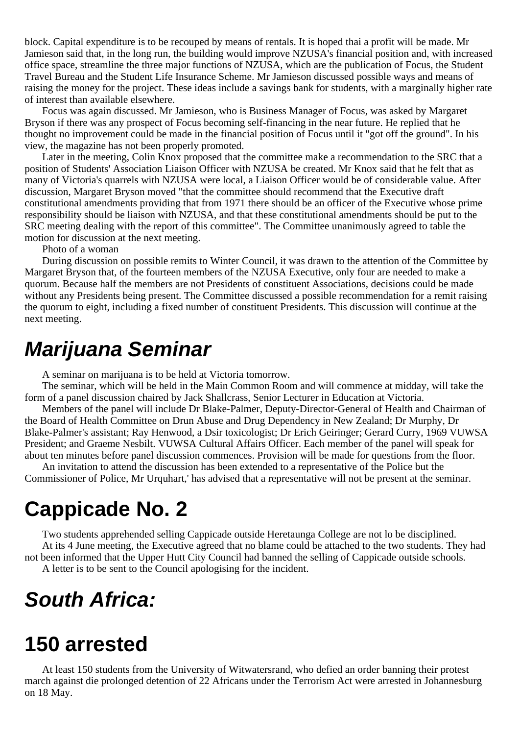block. Capital expenditure is to be recouped by means of rentals. It is hoped thai a profit will be made. Mr Jamieson said that, in the long run, the building would improve NZUSA's financial position and, with increased office space, streamline the three major functions of NZUSA, which are the publication of Focus, the Student Travel Bureau and the Student Life Insurance Scheme. Mr Jamieson discussed possible ways and means of raising the money for the project. These ideas include a savings bank for students, with a marginally higher rate of interest than available elsewhere.

Focus was again discussed. Mr Jamieson, who is Business Manager of Focus, was asked by Margaret Bryson if there was any prospect of Focus becoming self-financing in the near future. He replied that he thought no improvement could be made in the financial position of Focus until it "got off the ground". In his view, the magazine has not been properly promoted.

Later in the meeting, Colin Knox proposed that the committee make a recommendation to the SRC that a position of Students' Association Liaison Officer with NZUSA be created. Mr Knox said that he felt that as many of Victoria's quarrels with NZUSA were local, a Liaison Officer would be of considerable value. After discussion, Margaret Bryson moved "that the committee should recommend that the Executive draft constitutional amendments providing that from 1971 there should be an officer of the Executive whose prime responsibility should be liaison with NZUSA, and that these constitutional amendments should be put to the SRC meeting dealing with the report of this committee". The Committee unanimously agreed to table the motion for discussion at the next meeting.

Photo of a woman

During discussion on possible remits to Winter Council, it was drawn to the attention of the Committee by Margaret Bryson that, of the fourteen members of the NZUSA Executive, only four are needed to make a quorum. Because half the members are not Presidents of constituent Associations, decisions could be made without any Presidents being present. The Committee discussed a possible recommendation for a remit raising the quorum to eight, including a fixed number of constituent Presidents. This discussion will continue at the next meeting.

### **Marijuana Seminar**

A seminar on marijuana is to be held at Victoria tomorrow.

The seminar, which will be held in the Main Common Room and will commence at midday, will take the form of a panel discussion chaired by Jack Shallcrass, Senior Lecturer in Education at Victoria.

Members of the panel will include Dr Blake-Palmer, Deputy-Director-General of Health and Chairman of the Board of Health Committee on Drun Abuse and Drug Dependency in New Zealand; Dr Murphy, Dr Blake-Palmer's assistant; Ray Henwood, a Dsir toxicologist; Dr Erich Geiringer; Gerard Curry, 1969 VUWSA President; and Graeme Nesbilt. VUWSA Cultural Affairs Officer. Each member of the panel will speak for about ten minutes before panel discussion commences. Provision will be made for questions from the floor.

An invitation to attend the discussion has been extended to a representative of the Police but the Commissioner of Police, Mr Urquhart,' has advised that a representative will not be present at the seminar.

### **Cappicade No. 2**

Two students apprehended selling Cappicade outside Heretaunga College are not lo be disciplined. At its 4 June meeting, the Executive agreed that no blame could be attached to the two students. They had not been informed that the Upper Hutt City Council had banned the selling of Cappicade outside schools. A letter is to be sent to the Council apologising for the incident.

# **South Africa:**

### **150 arrested**

At least 150 students from the University of Witwatersrand, who defied an order banning their protest march against die prolonged detention of 22 Africans under the Terrorism Act were arrested in Johannesburg on 18 May.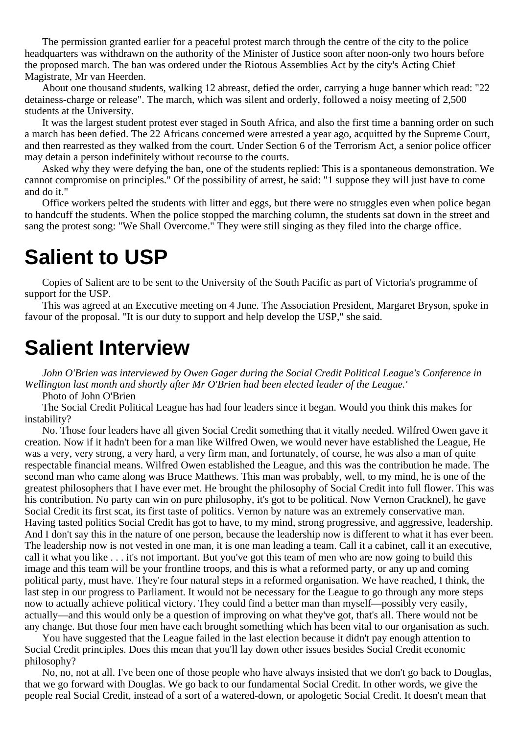The permission granted earlier for a peaceful protest march through the centre of the city to the police headquarters was withdrawn on the authority of the Minister of Justice soon after noon-only two hours before the proposed march. The ban was ordered under the Riotous Assemblies Act by the city's Acting Chief Magistrate, Mr van Heerden.

About one thousand students, walking 12 abreast, defied the order, carrying a huge banner which read: "22 detainess-charge or release". The march, which was silent and orderly, followed a noisy meeting of 2,500 students at the University.

It was the largest student protest ever staged in South Africa, and also the first time a banning order on such a march has been defied. The 22 Africans concerned were arrested a year ago, acquitted by the Supreme Court, and then rearrested as they walked from the court. Under Section 6 of the Terrorism Act, a senior police officer may detain a person indefinitely without recourse to the courts.

Asked why they were defying the ban, one of the students replied: This is a spontaneous demonstration. We cannot compromise on principles." Of the possibility of arrest, he said: "1 suppose they will just have to come and do it."

Office workers pelted the students with litter and eggs, but there were no struggles even when police began to handcuff the students. When the police stopped the marching column, the students sat down in the street and sang the protest song: "We Shall Overcome." They were still singing as they filed into the charge office.

### **Salient to USP**

Copies of Salient are to be sent to the University of the South Pacific as part of Victoria's programme of support for the USP.

This was agreed at an Executive meeting on 4 June. The Association President, Margaret Bryson, spoke in favour of the proposal. "It is our duty to support and help develop the USP," she said.

### **Salient Interview**

*John O'Brien was interviewed by Owen Gager during the Social Credit Political League's Conference in Wellington last month and shortly after Mr O'Brien had been elected leader of the League.'*

Photo of John O'Brien

The Social Credit Political League has had four leaders since it began. Would you think this makes for instability?

No. Those four leaders have all given Social Credit something that it vitally needed. Wilfred Owen gave it creation. Now if it hadn't been for a man like Wilfred Owen, we would never have established the League, He was a very, very strong, a very hard, a very firm man, and fortunately, of course, he was also a man of quite respectable financial means. Wilfred Owen established the League, and this was the contribution he made. The second man who came along was Bruce Matthews. This man was probably, well, to my mind, he is one of the greatest philosophers that I have ever met. He brought the philosophy of Social Credit into full flower. This was his contribution. No party can win on pure philosophy, it's got to be political. Now Vernon Cracknel), he gave Social Credit its first scat, its first taste of politics. Vernon by nature was an extremely conservative man. Having tasted politics Social Credit has got to have, to my mind, strong progressive, and aggressive, leadership. And I don't say this in the nature of one person, because the leadership now is different to what it has ever been. The leadership now is not vested in one man, it is one man leading a team. Call it a cabinet, call it an executive, call it what you like . . . it's not important. But you've got this team of men who are now going to build this image and this team will be your frontline troops, and this is what a reformed party, or any up and coming political party, must have. They're four natural steps in a reformed organisation. We have reached, I think, the last step in our progress to Parliament. It would not be necessary for the League to go through any more steps now to actually achieve political victory. They could find a better man than myself—possibly very easily, actually—and this would only be a question of improving on what they've got, that's all. There would not be any change. But those four men have each brought something which has been vital to our organisation as such.

You have suggested that the League failed in the last election because it didn't pay enough attention to Social Credit principles. Does this mean that you'll lay down other issues besides Social Credit economic philosophy?

No, no, not at all. I've been one of those people who have always insisted that we don't go back to Douglas, that we go forward with Douglas. We go back to our fundamental Social Credit. In other words, we give the people real Social Credit, instead of a sort of a watered-down, or apologetic Social Credit. It doesn't mean that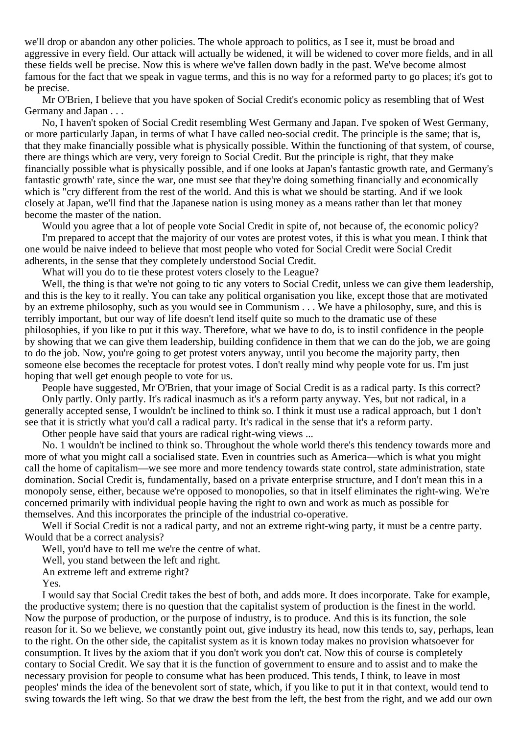we'll drop or abandon any other policies. The whole approach to politics, as I see it, must be broad and aggressive in every field. Our attack will actually be widened, it will be widened to cover more fields, and in all these fields well be precise. Now this is where we've fallen down badly in the past. We've become almost famous for the fact that we speak in vague terms, and this is no way for a reformed party to go places; it's got to be precise.

Mr O'Brien, I believe that you have spoken of Social Credit's economic policy as resembling that of West Germany and Japan . . .

No, I haven't spoken of Social Credit resembling West Germany and Japan. I've spoken of West Germany, or more particularly Japan, in terms of what I have called neo-social credit. The principle is the same; that is, that they make financially possible what is physically possible. Within the functioning of that system, of course, there are things which are very, very foreign to Social Credit. But the principle is right, that they make financially possible what is physically possible, and if one looks at Japan's fantastic growth rate, and Germany's fantastic growth' rate, since the war, one must see that they're doing something financially and economically which is "cry different from the rest of the world. And this is what we should be starting. And if we look closely at Japan, we'll find that the Japanese nation is using money as a means rather than let that money become the master of the nation.

Would you agree that a lot of people vote Social Credit in spite of, not because of, the economic policy? I'm prepared to accept that the majority of our votes are protest votes, if this is what you mean. I think that one would be naive indeed to believe that most people who voted for Social Credit were Social Credit adherents, in the sense that they completely understood Social Credit.

What will you do to tie these protest voters closely to the League?

Well, the thing is that we're not going to tic any voters to Social Credit, unless we can give them leadership, and this is the key to it really. You can take any political organisation you like, except those that are motivated by an extreme philosophy, such as you would see in Communism . . . We have a philosophy, sure, and this is terribly important, but our way of life doesn't lend itself quite so much to the dramatic use of these philosophies, if you like to put it this way. Therefore, what we have to do, is to instil confidence in the people by showing that we can give them leadership, building confidence in them that we can do the job, we are going to do the job. Now, you're going to get protest voters anyway, until you become the majority party, then someone else becomes the receptacle for protest votes. I don't really mind why people vote for us. I'm just hoping that well get enough people to vote for us.

People have suggested, Mr O'Brien, that your image of Social Credit is as a radical party. Is this correct?

Only partly. Only partly. It's radical inasmuch as it's a reform party anyway. Yes, but not radical, in a generally accepted sense, I wouldn't be inclined to think so. I think it must use a radical approach, but 1 don't see that it is strictly what you'd call a radical party. It's radical in the sense that it's a reform party.

Other people have said that yours are radical right-wing views ...

No. 1 wouldn't be inclined to think so. Throughout the whole world there's this tendency towards more and more of what you might call a socialised state. Even in countries such as America—which is what you might call the home of capitalism—we see more and more tendency towards state control, state administration, state domination. Social Credit is, fundamentally, based on a private enterprise structure, and I don't mean this in a monopoly sense, either, because we're opposed to monopolies, so that in itself eliminates the right-wing. We're concerned primarily with individual people having the right to own and work as much as possible for themselves. And this incorporates the principle of the industrial co-operative.

Well if Social Credit is not a radical party, and not an extreme right-wing party, it must be a centre party. Would that be a correct analysis?

Well, you'd have to tell me we're the centre of what.

Well, you stand between the left and right.

An extreme left and extreme right?

Yes.

I would say that Social Credit takes the best of both, and adds more. It does incorporate. Take for example, the productive system; there is no question that the capitalist system of production is the finest in the world. Now the purpose of production, or the purpose of industry, is to produce. And this is its function, the sole reason for it. So we believe, we constantly point out, give industry its head, now this tends to, say, perhaps, lean to the right. On the other side, the capitalist system as it is known today makes no provision whatsoever for consumption. It lives by the axiom that if you don't work you don't cat. Now this of course is completely contary to Social Credit. We say that it is the function of government to ensure and to assist and to make the necessary provision for people to consume what has been produced. This tends, I think, to leave in most peoples' minds the idea of the benevolent sort of state, which, if you like to put it in that context, would tend to swing towards the left wing. So that we draw the best from the left, the best from the right, and we add our own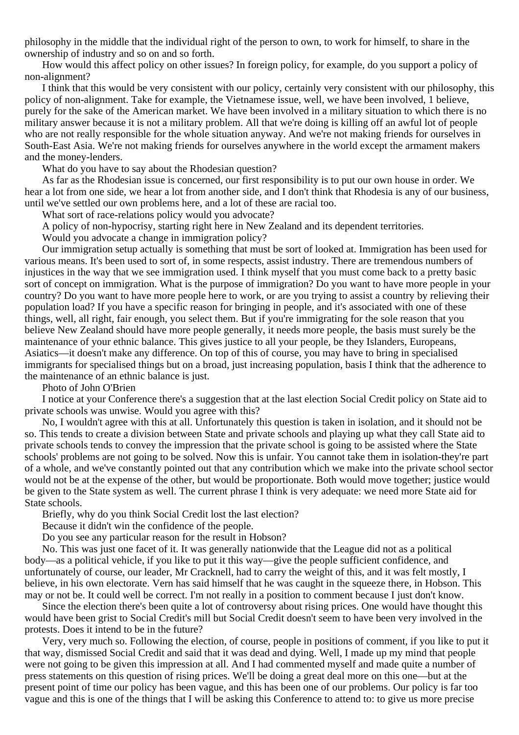philosophy in the middle that the individual right of the person to own, to work for himself, to share in the ownership of industry and so on and so forth.

How would this affect policy on other issues? In foreign policy, for example, do you support a policy of non-alignment?

I think that this would be very consistent with our policy, certainly very consistent with our philosophy, this policy of non-alignment. Take for example, the Vietnamese issue, well, we have been involved, 1 believe, purely for the sake of the American market. We have been involved in a military situation to which there is no military answer because it is not a military problem. All that we're doing is killing off an awful lot of people who are not really responsible for the whole situation anyway. And we're not making friends for ourselves in South-East Asia. We're not making friends for ourselves anywhere in the world except the armament makers and the money-lenders.

What do you have to say about the Rhodesian question?

As far as the Rhodesian issue is concerned, our first responsibility is to put our own house in order. We hear a lot from one side, we hear a lot from another side, and I don't think that Rhodesia is any of our business, until we've settled our own problems here, and a lot of these are racial too.

What sort of race-relations policy would you advocate?

A policy of non-hypocrisy, starting right here in New Zealand and its dependent territories.

Would you advocate a change in immigration policy?

Our immigration setup actually is something that must be sort of looked at. Immigration has been used for various means. It's been used to sort of, in some respects, assist industry. There are tremendous numbers of injustices in the way that we see immigration used. I think myself that you must come back to a pretty basic sort of concept on immigration. What is the purpose of immigration? Do you want to have more people in your country? Do you want to have more people here to work, or are you trying to assist a country by relieving their population load? If you have a specific reason for bringing in people, and it's associated with one of these things, well, all right, fair enough, you select them. But if you're immigrating for the sole reason that you believe New Zealand should have more people generally, it needs more people, the basis must surely be the maintenance of your ethnic balance. This gives justice to all your people, be they Islanders, Europeans, Asiatics—it doesn't make any difference. On top of this of course, you may have to bring in specialised immigrants for specialised things but on a broad, just increasing population, basis I think that the adherence to the maintenance of an ethnic balance is just.

Photo of John O'Brien

I notice at your Conference there's a suggestion that at the last election Social Credit policy on State aid to private schools was unwise. Would you agree with this?

No, I wouldn't agree with this at all. Unfortunately this question is taken in isolation, and it should not be so. This tends to create a division between State and private schools and playing up what they call State aid to private schools tends to convey the impression that the private school is going to be assisted where the State schools' problems are not going to be solved. Now this is unfair. You cannot take them in isolation-they're part of a whole, and we've constantly pointed out that any contribution which we make into the private school sector would not be at the expense of the other, but would be proportionate. Both would move together; justice would be given to the State system as well. The current phrase I think is very adequate: we need more State aid for State schools.

Briefly, why do you think Social Credit lost the last election?

Because it didn't win the confidence of the people.

Do you see any particular reason for the result in Hobson?

No. This was just one facet of it. It was generally nationwide that the League did not as a political body—as a political vehicle, if you like to put it this way—give the people sufficient confidence, and unfortunately of course, our leader, Mr Cracknell, had to carry the weight of this, and it was felt mostly, I believe, in his own electorate. Vern has said himself that he was caught in the squeeze there, in Hobson. This may or not be. It could well be correct. I'm not really in a position to comment because I just don't know.

Since the election there's been quite a lot of controversy about rising prices. One would have thought this would have been grist to Social Credit's mill but Social Credit doesn't seem to have been very involved in the protests. Does it intend to be in the future?

Very, very much so. Following the election, of course, people in positions of comment, if you like to put it that way, dismissed Social Credit and said that it was dead and dying. Well, I made up my mind that people were not going to be given this impression at all. And I had commented myself and made quite a number of press statements on this question of rising prices. We'll be doing a great deal more on this one—but at the present point of time our policy has been vague, and this has been one of our problems. Our policy is far too vague and this is one of the things that I will be asking this Conference to attend to: to give us more precise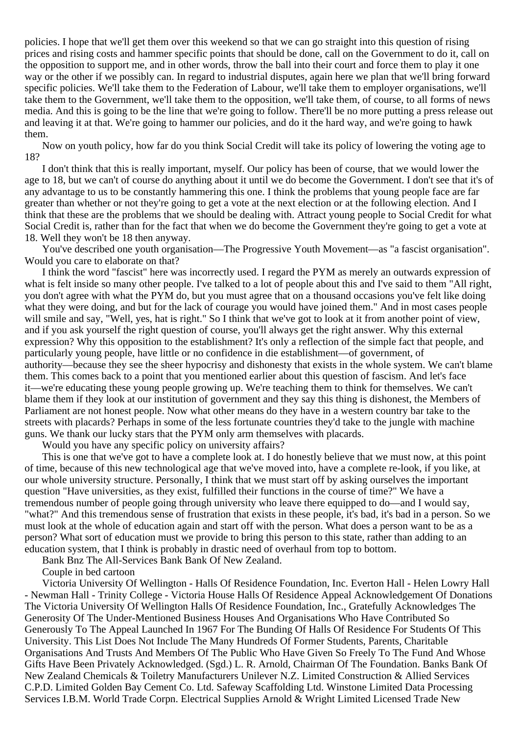policies. I hope that we'll get them over this weekend so that we can go straight into this question of rising prices and rising costs and hammer specific points that should be done, call on the Government to do it, call on the opposition to support me, and in other words, throw the ball into their court and force them to play it one way or the other if we possibly can. In regard to industrial disputes, again here we plan that we'll bring forward specific policies. We'll take them to the Federation of Labour, we'll take them to employer organisations, we'll take them to the Government, we'll take them to the opposition, we'll take them, of course, to all forms of news media. And this is going to be the line that we're going to follow. There'll be no more putting a press release out and leaving it at that. We're going to hammer our policies, and do it the hard way, and we're going to hawk them.

Now on youth policy, how far do you think Social Credit will take its policy of lowering the voting age to 18?

I don't think that this is really important, myself. Our policy has been of course, that we would lower the age to 18, but we can't of course do anything about it until we do become the Government. I don't see that it's of any advantage to us to be constantly hammering this one. I think the problems that young people face are far greater than whether or not they're going to get a vote at the next election or at the following election. And I think that these are the problems that we should be dealing with. Attract young people to Social Credit for what Social Credit is, rather than for the fact that when we do become the Government they're going to get a vote at 18. Well they won't be 18 then anyway.

You've described one youth organisation—The Progressive Youth Movement—as "a fascist organisation". Would you care to elaborate on that?

I think the word "fascist" here was incorrectly used. I regard the PYM as merely an outwards expression of what is felt inside so many other people. I've talked to a lot of people about this and I've said to them "All right, you don't agree with what the PYM do, but you must agree that on a thousand occasions you've felt like doing what they were doing, and but for the lack of courage you would have joined them." And in most cases people will smile and say, "Well, yes, hat is right." So I think that we've got to look at it from another point of view, and if you ask yourself the right question of course, you'll always get the right answer. Why this external expression? Why this opposition to the establishment? It's only a reflection of the simple fact that people, and particularly young people, have little or no confidence in die establishment—of government, of authority—because they see the sheer hypocrisy and dishonesty that exists in the whole system. We can't blame them. This comes back to a point that you mentioned earlier about this question of fascism. And let's face it—we're educating these young people growing up. We're teaching them to think for themselves. We can't blame them if they look at our institution of government and they say this thing is dishonest, the Members of Parliament are not honest people. Now what other means do they have in a western country bar take to the streets with placards? Perhaps in some of the less fortunate countries they'd take to the jungle with machine guns. We thank our lucky stars that the PYM only arm themselves with placards.

Would you have any specific policy on university affairs?

This is one that we've got to have a complete look at. I do honestly believe that we must now, at this point of time, because of this new technological age that we've moved into, have a complete re-look, if you like, at our whole university structure. Personally, I think that we must start off by asking ourselves the important question "Have universities, as they exist, fulfilled their functions in the course of time?" We have a tremendous number of people going through university who leave there equipped to do—and I would say, "what?" And this tremendous sense of frustration that exists in these people, it's bad, it's bad in a person. So we must look at the whole of education again and start off with the person. What does a person want to be as a person? What sort of education must we provide to bring this person to this state, rather than adding to an education system, that I think is probably in drastic need of overhaul from top to bottom.

Bank Bnz The All-Services Bank Bank Of New Zealand.

Couple in bed cartoon

Victoria University Of Wellington - Halls Of Residence Foundation, Inc. Everton Hall - Helen Lowry Hall - Newman Hall - Trinity College - Victoria House Halls Of Residence Appeal Acknowledgement Of Donations The Victoria University Of Wellington Halls Of Residence Foundation, Inc., Gratefully Acknowledges The Generosity Of The Under-Mentioned Business Houses And Organisations Who Have Contributed So Generously To The Appeal Launched In 1967 For The Bunding Of Halls Of Residence For Students Of This University. This List Does Not Include The Many Hundreds Of Former Students, Parents, Charitable Organisations And Trusts And Members Of The Public Who Have Given So Freely To The Fund And Whose Gifts Have Been Privately Acknowledged. (Sgd.) L. R. Arnold, Chairman Of The Foundation. Banks Bank Of New Zealand Chemicals & Toiletry Manufacturers Unilever N.Z. Limited Construction & Allied Services C.P.D. Limited Golden Bay Cement Co. Ltd. Safeway Scaffolding Ltd. Winstone Limited Data Processing Services I.B.M. World Trade Corpn. Electrical Supplies Arnold & Wright Limited Licensed Trade New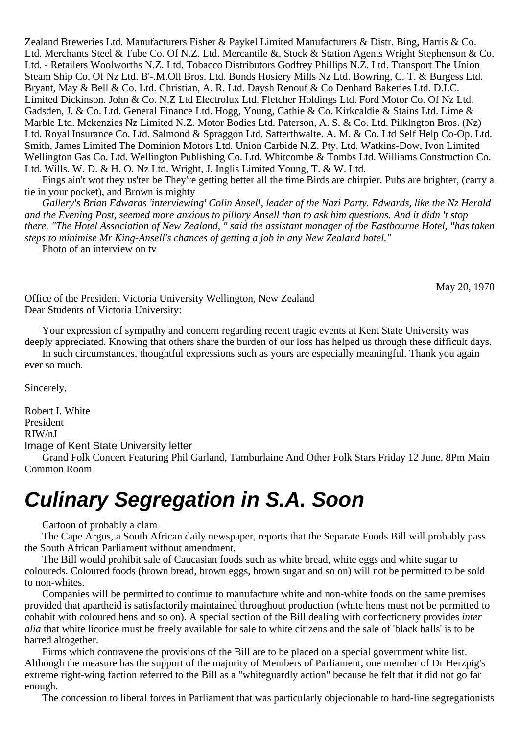Zealand Breweries Ltd. Manufacturers Fisher & Paykel Limited Manufacturers & Distr. Bing, Harris & Co. Ltd. Merchants Steel & Tube Co. Of N.Z. Ltd. Mercantile &, Stock & Station Agents Wright Stephenson & Co. Ltd. - Retailers Woolworths N.Z. Ltd. Tobacco Distributors Godfrey Phillips N.Z. Ltd. Transport The Union Steam Ship Co. Of Nz Ltd. B'-.M.Oll Bros. Ltd. Bonds Hosiery Mills Nz Ltd. Bowring, C. T. & Burgess Ltd. Bryant, May & Bell & Co. Ltd. Christian, A. R. Ltd. Daysh Renouf & Co Denhard Bakeries Ltd. D.I.C. Limited Dickinson. John & Co. N.Z Ltd Electrolux Ltd. Fletcher Holdings Ltd. Ford Motor Co. Of Nz Ltd. Gadsden, J. & Co. Ltd. General Finance Ltd. Hogg, Young, Cathie & Co. Kirkcaldie & Stains Ltd. Lime & Marble Ltd. Mckenzies Nz Limited N.Z. Motor Bodies Ltd. Paterson, A. S. & Co. Ltd. Pilklngton Bros. (Nz) Ltd. Royal Insurance Co. Ltd. Salmond & Spraggon Ltd. Satterthwalte. A. M. & Co. Ltd Self Help Co-Op. Ltd. Smith, James Limited The Dominion Motors Ltd. Union Carbide N.Z. Pty. Ltd. Watkins-Dow, Ivon Limited Wellington Gas Co. Ltd. Wellington Publishing Co. Ltd. Whitcombe & Tombs Ltd. Williams Construction Co. Ltd. Wills. W. D. & H. O. Nz Ltd. Wright, J. Inglis Limited Young, T. & W. Ltd.

Fings ain't wot they us'ter be They're getting better all the time Birds are chirpier. Pubs are brighter, (carry a tie in your pocket), and Brown is mighty

*Gallery's Brian Edwards 'interviewing' Colin Ansell, leader of the Nazi Party. Edwards, like the Nz Herald and the Evening Post, seemed more anxious to pillory Ansell than to ask him questions. And it didn 't stop there. "The Hotel Association of New Zealand, " said the assistant manager of tbe Eastbourne Hotel, "has taken steps to minimise Mr King-Ansell's chances of getting a job in any New Zealand hotel."*

Photo of an interview on tv

May 20, 1970

Office of the President Victoria University Wellington, New Zealand Dear Students of Victoria University:

Your expression of sympathy and concern regarding recent tragic events at Kent State University was deeply appreciated. Knowing that others share the burden of our loss has helped us through these difficult days.

In such circumstances, thoughtful expressions such as yours are especially meaningful. Thank you again ever so much.

Sincerely,

Robert I. White President RIW/nJ Image of Kent State University letter

Grand Folk Concert Featuring Phil Garland, Tamburlaine And Other Folk Stars Friday 12 June, 8Pm Main Common Room

# **Culinary Segregation in S.A. Soon**

Cartoon of probably a clam

The Cape Argus, a South African daily newspaper, reports that the Separate Foods Bill will probably pass the South African Parliament without amendment.

The Bill would prohibit sale of Caucasian foods such as white bread, white eggs and white sugar to coloureds. Coloured foods (brown bread, brown eggs, brown sugar and so on) will not be permitted to be sold to non-whites.

Companies will be permitted to continue to manufacture white and non-white foods on the same premises provided that apartheid is satisfactorily maintained throughout production (white hens must not be permitted to cohabit with coloured hens and so on). A special section of the Bill dealing with confectionery provides *inter alia* that white licorice must be freely available for sale to white citizens and the sale of 'black balls' is to be barred altogether.

Firms which contravene the provisions of the Bill are to be placed on a special government white list. Although the measure has the support of the majority of Members of Parliament, one member of Dr Herzpig's extreme right-wing faction referred to the Bill as a "whiteguardly action" because he felt that it did not go far enough.

The concession to liberal forces in Parliament that was particularly objecionable to hard-line segregationists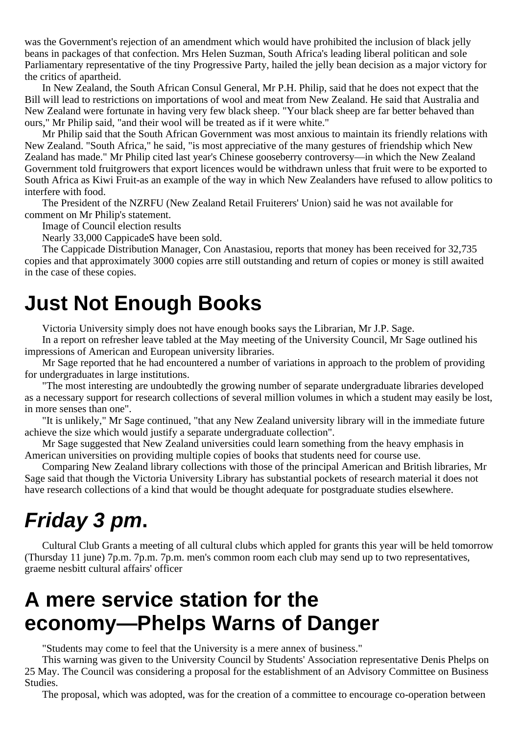was the Government's rejection of an amendment which would have prohibited the inclusion of black jelly beans in packages of that confection. Mrs Helen Suzman, South Africa's leading liberal politican and sole Parliamentary representative of the tiny Progressive Party, hailed the jelly bean decision as a major victory for the critics of apartheid.

In New Zealand, the South African Consul General, Mr P.H. Philip, said that he does not expect that the Bill will lead to restrictions on importations of wool and meat from New Zealand. He said that Australia and New Zealand were fortunate in having very few black sheep. "Your black sheep are far better behaved than ours," Mr Philip said, "and their wool will be treated as if it were white."

Mr Philip said that the South African Government was most anxious to maintain its friendly relations with New Zealand. "South Africa," he said, "is most appreciative of the many gestures of friendship which New Zealand has made." Mr Philip cited last year's Chinese gooseberry controversy—in which the New Zealand Government told fruitgrowers that export licences would be withdrawn unless that fruit were to be exported to South Africa as Kiwi Fruit-as an example of the way in which New Zealanders have refused to allow politics to interfere with food.

The President of the NZRFU (New Zealand Retail Fruiterers' Union) said he was not available for comment on Mr Philip's statement.

Image of Council election results

Nearly 33,000 CappicadeS have been sold.

The Cappicade Distribution Manager, Con Anastasiou, reports that money has been received for 32,735 copies and that approximately 3000 copies arre still outstanding and return of copies or money is still awaited in the case of these copies.

### **Just Not Enough Books**

Victoria University simply does not have enough books says the Librarian, Mr J.P. Sage.

In a report on refresher leave tabled at the May meeting of the University Council, Mr Sage outlined his impressions of American and European university libraries.

Mr Sage reported that he had encountered a number of variations in approach to the problem of providing for undergraduates in large institutions.

"The most interesting are undoubtedly the growing number of separate undergraduate libraries developed as a necessary support for research collections of several million volumes in which a student may easily be lost, in more senses than one".

"It is unlikely," Mr Sage continued, "that any New Zealand university library will in the immediate future achieve the size which would justify a separate undergraduate collection".

Mr Sage suggested that New Zealand universities could learn something from the heavy emphasis in American universities on providing multiple copies of books that students need for course use.

Comparing New Zealand library collections with those of the principal American and British libraries, Mr Sage said that though the Victoria University Library has substantial pockets of research material it does not have research collections of a kind that would be thought adequate for postgraduate studies elsewhere.

# **Friday 3 pm.**

Cultural Club Grants a meeting of all cultural clubs which appled for grants this year will be held tomorrow (Thursday 11 june) 7p.m. 7p.m. 7p.m. men's common room each club may send up to two representatives, graeme nesbitt cultural affairs' officer

## **A mere service station for the economy—Phelps Warns of Danger**

"Students may come to feel that the University is a mere annex of business."

This warning was given to the University Council by Students' Association representative Denis Phelps on 25 May. The Council was considering a proposal for the establishment of an Advisory Committee on Business Studies.

The proposal, which was adopted, was for the creation of a committee to encourage co-operation between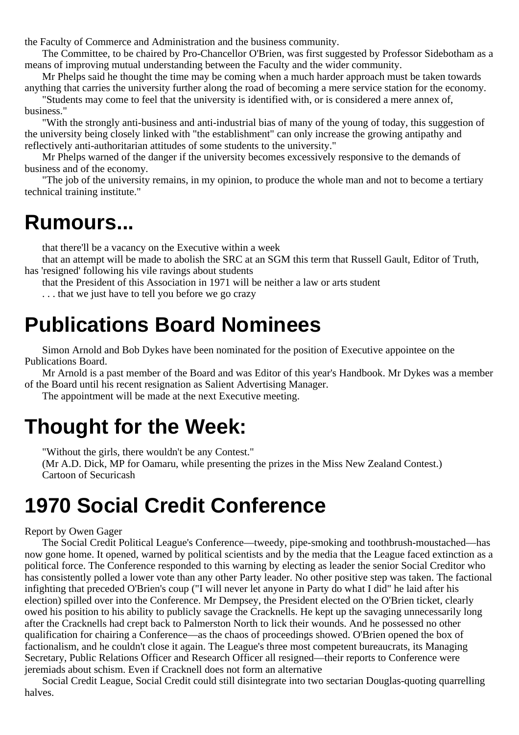the Faculty of Commerce and Administration and the business community.

The Committee, to be chaired by Pro-Chancellor O'Brien, was first suggested by Professor Sidebotham as a means of improving mutual understanding between the Faculty and the wider community.

Mr Phelps said he thought the time may be coming when a much harder approach must be taken towards anything that carries the university further along the road of becoming a mere service station for the economy.

"Students may come to feel that the university is identified with, or is considered a mere annex of, business."

"With the strongly anti-business and anti-industrial bias of many of the young of today, this suggestion of the university being closely linked with "the establishment" can only increase the growing antipathy and reflectively anti-authoritarian attitudes of some students to the university."

Mr Phelps warned of the danger if the university becomes excessively responsive to the demands of business and of the economy.

"The job of the university remains, in my opinion, to produce the whole man and not to become a tertiary technical training institute."

### **Rumours...**

that there'll be a vacancy on the Executive within a week

that an attempt will be made to abolish the SRC at an SGM this term that Russell Gault, Editor of Truth, has 'resigned' following his vile ravings about students

that the President of this Association in 1971 will be neither a law or arts student

. . . that we just have to tell you before we go crazy

### **Publications Board Nominees**

Simon Arnold and Bob Dykes have been nominated for the position of Executive appointee on the Publications Board.

Mr Arnold is a past member of the Board and was Editor of this year's Handbook. Mr Dykes was a member of the Board until his recent resignation as Salient Advertising Manager.

The appointment will be made at the next Executive meeting.

### **Thought for the Week:**

"Without the girls, there wouldn't be any Contest."

(Mr A.D. Dick, MP for Oamaru, while presenting the prizes in the Miss New Zealand Contest.) Cartoon of Securicash

# **1970 Social Credit Conference**

#### Report by Owen Gager

The Social Credit Political League's Conference—tweedy, pipe-smoking and toothbrush-moustached—has now gone home. It opened, warned by political scientists and by the media that the League faced extinction as a political force. The Conference responded to this warning by electing as leader the senior Social Creditor who has consistently polled a lower vote than any other Party leader. No other positive step was taken. The factional infighting that preceded O'Brien's coup ("I will never let anyone in Party do what I did" he laid after his election) spilled over into the Conference. Mr Dempsey, the President elected on the O'Brien ticket, clearly owed his position to his ability to publicly savage the Cracknells. He kept up the savaging unnecessarily long after the Cracknells had crept back to Palmerston North to lick their wounds. And he possessed no other qualification for chairing a Conference—as the chaos of proceedings showed. O'Brien opened the box of factionalism, and he couldn't close it again. The League's three most competent bureaucrats, its Managing Secretary, Public Relations Officer and Research Officer all resigned—their reports to Conference were jeremiads about schism. Even if Cracknell does not form an alternative

Social Credit League, Social Credit could still disintegrate into two sectarian Douglas-quoting quarrelling halves.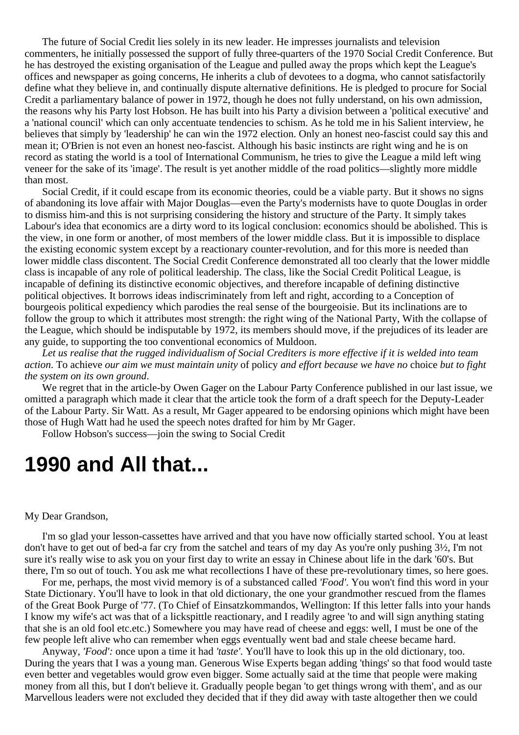The future of Social Credit lies solely in its new leader. He impresses journalists and television commenters, he initially possessed the support of fully three-quarters of the 1970 Social Credit Conference. But he has destroyed the existing organisation of the League and pulled away the props which kept the League's offices and newspaper as going concerns, He inherits a club of devotees to a dogma, who cannot satisfactorily define what they believe in, and continually dispute alternative definitions. He is pledged to procure for Social Credit a parliamentary balance of power in 1972, though he does not fully understand, on his own admission, the reasons why his Party lost Hobson. He has built into his Party a division between a 'political executive' and a 'national council' which can only accentuate tendencies to schism. As he told me in his Salient interview, he believes that simply by 'leadership' he can win the 1972 election. Only an honest neo-fascist could say this and mean it; O'Brien is not even an honest neo-fascist. Although his basic instincts are right wing and he is on record as stating the world is a tool of International Communism, he tries to give the League a mild left wing veneer for the sake of its 'image'. The result is yet another middle of the road politics—slightly more middle than most.

Social Credit, if it could escape from its economic theories, could be a viable party. But it shows no signs of abandoning its love affair with Major Douglas—even the Party's modernists have to quote Douglas in order to dismiss him-and this is not surprising considering the history and structure of the Party. It simply takes Labour's idea that economics are a dirty word to its logical conclusion: economics should be abolished. This is the view, in one form or another, of most members of the lower middle class. But it is impossible to displace the existing economic system except by a reactionary counter-revolution, and for this more is needed than lower middle class discontent. The Social Credit Conference demonstrated all too clearly that the lower middle class is incapable of any role of political leadership. The class, like the Social Credit Political League, is incapable of defining its distinctive economic objectives, and therefore incapable of defining distinctive political objectives. It borrows ideas indiscriminately from left and right, according to a Conception of bourgeois political expediency which parodies the real sense of the bourgeoisie. But its inclinations are to follow the group to which it attributes most strength: the right wing of the National Party, With the collapse of the League, which should be indisputable by 1972, its members should move, if the prejudices of its leader are any guide, to supporting the too conventional economics of Muldoon.

*Let us realise that the rugged individualism of Social Crediters is more effective if it is welded into team action*. To achieve *our aim we must maintain unity* of policy *and effort because we have no* choice *but to fight the system on its own ground*.

We regret that in the article-by Owen Gager on the Labour Party Conference published in our last issue, we omitted a paragraph which made it clear that the article took the form of a draft speech for the Deputy-Leader of the Labour Party. Sir Watt. As a result, Mr Gager appeared to be endorsing opinions which might have been those of Hugh Watt had he used the speech notes drafted for him by Mr Gager.

Follow Hobson's success—join the swing to Social Credit

### **1990 and All that...**

#### My Dear Grandson,

I'm so glad your lesson-cassettes have arrived and that you have now officially started school. You at least don't have to get out of bed-a far cry from the satchel and tears of my day As you're only pushing 3½, I'm not sure it's really wise to ask you on your first day to write an essay in Chinese about life in the dark '60's. But there, I'm so out of touch. You ask me what recollections I have of these pre-revolutionary times, so here goes.

For me, perhaps, the most vivid memory is of a substanced called *'Food'*. You won't find this word in your State Dictionary. You'll have to look in that old dictionary, the one your grandmother rescued from the flames of the Great Book Purge of '77. (To Chief of Einsatzkommandos, Wellington: If this letter falls into your hands I know my wife's act was that of a lickspittle reactionary, and I readily agree 'to and will sign anything stating that she is an old fool etc.etc.) Somewhere you may have read of cheese and eggs: well, I must be one of the few people left alive who can remember when eggs eventually went bad and stale cheese became hard.

Anyway, *'Food':* once upon a time it had *'taste'*. You'll have to look this up in the old dictionary, too. During the years that I was a young man. Generous Wise Experts began adding 'things' so that food would taste even better and vegetables would grow even bigger. Some actually said at the time that people were making money from all this, but I don't believe it. Gradually people began 'to get things wrong with them', and as our Marvellous leaders were not excluded they decided that if they did away with taste altogether then we could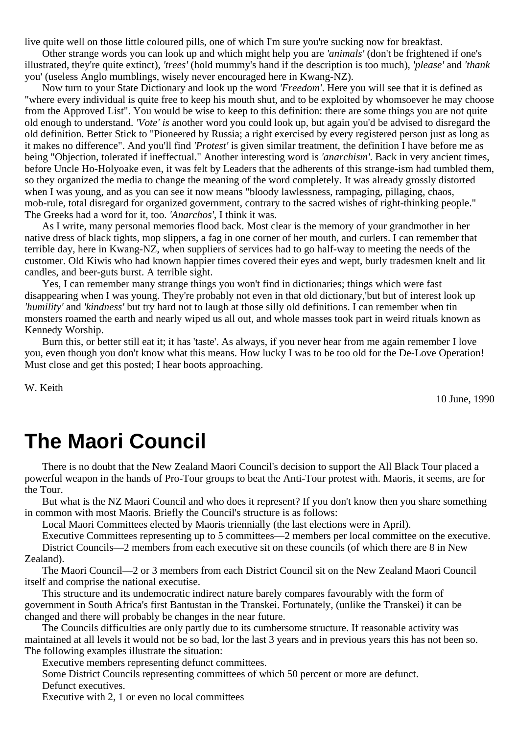live quite well on those little coloured pills, one of which I'm sure you're sucking now for breakfast.

Other strange words you can look up and which might help you are *'animals'* (don't be frightened if one's illustrated, they're quite extinct), *'trees'* (hold mummy's hand if the description is too much), *'please'* and *'thank* you' (useless Anglo mumblings, wisely never encouraged here in Kwang-NZ).

Now turn to your State Dictionary and look up the word *'Freedom'*. Here you will see that it is defined as "where every individual is quite free to keep his mouth shut, and to be exploited by whomsoever he may choose from the Approved List". You would be wise to keep to this definition: there are some things you are not quite old enough to understand. *'Vote' is* another word you could look up, but again you'd be advised to disregard the old definition. Better Stick to "Pioneered by Russia; a right exercised by every registered person just as long as it makes no difference". And you'll find *'Protest'* is given similar treatment, the definition I have before me as being "Objection, tolerated if ineffectual." Another interesting word is *'anarchism'*. Back in very ancient times, before Uncle Ho-Holyoake even, it was felt by Leaders that the adherents of this strange-ism had tumbled them, so they organized the media to change the meaning of the word completely. It was already grossly distorted when I was young, and as you can see it now means "bloody lawlessness, rampaging, pillaging, chaos, mob-rule, total disregard for organized government, contrary to the sacred wishes of right-thinking people." The Greeks had a word for it, too. *'Anarchos'*, I think it was.

As I write, many personal memories flood back. Most clear is the memory of your grandmother in her native dress of black tights, mop slippers, a fag in one corner of her mouth, and curlers. I can remember that terrible day, here in Kwang-NZ, when suppliers of services had to go half-way to meeting the needs of the customer. Old Kiwis who had known happier times covered their eyes and wept, burly tradesmen knelt and lit candles, and beer-guts burst. A terrible sight.

Yes, I can remember many strange things you won't find in dictionaries; things which were fast disappearing when I was young. They're probably not even in that old dictionary,'but but of interest look up *'humility'* and *'kindness'* but try hard not to laugh at those silly old definitions. I can remember when tin monsters roamed the earth and nearly wiped us all out, and whole masses took part in weird rituals known as Kennedy Worship.

Burn this, or better still eat it; it has 'taste'. As always, if you never hear from me again remember I love you, even though you don't know what this means. How lucky I was to be too old for the De-Love Operation! Must close and get this posted; I hear boots approaching.

W. Keith

10 June, 1990

### **The Maori Council**

There is no doubt that the New Zealand Maori Council's decision to support the All Black Tour placed a powerful weapon in the hands of Pro-Tour groups to beat the Anti-Tour protest with. Maoris, it seems, are for the Tour.

But what is the NZ Maori Council and who does it represent? If you don't know then you share something in common with most Maoris. Briefly the Council's structure is as follows:

Local Maori Committees elected by Maoris triennially (the last elections were in April).

Executive Committees representing up to 5 committees—2 members per local committee on the executive. District Councils—2 members from each executive sit on these councils (of which there are 8 in New Zealand).

The Maori Council—2 or 3 members from each District Council sit on the New Zealand Maori Council itself and comprise the national executise.

This structure and its undemocratic indirect nature barely compares favourably with the form of government in South Africa's first Bantustan in the Transkei. Fortunately, (unlike the Transkei) it can be changed and there will probably be changes in the near future.

The Councils difficulties are only partly due to its cumbersome structure. If reasonable activity was maintained at all levels it would not be so bad, lor the last 3 years and in previous years this has not been so. The following examples illustrate the situation:

Executive members representing defunct committees.

Some District Councils representing committees of which 50 percent or more are defunct. Defunct executives.

Executive with 2, 1 or even no local committees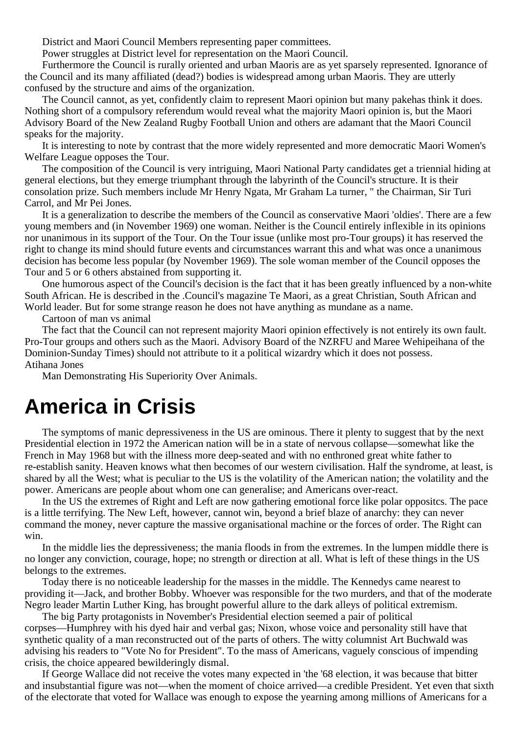District and Maori Council Members representing paper committees.

Power struggles at District level for representation on the Maori Council.

Furthermore the Council is rurally oriented and urban Maoris are as yet sparsely represented. Ignorance of the Council and its many affiliated (dead?) bodies is widespread among urban Maoris. They are utterly confused by the structure and aims of the organization.

The Council cannot, as yet, confidently claim to represent Maori opinion but many pakehas think it does. Nothing short of a compulsory referendum would reveal what the majority Maori opinion is, but the Maori Advisory Board of the New Zealand Rugby Football Union and others are adamant that the Maori Council speaks for the majority.

It is interesting to note by contrast that the more widely represented and more democratic Maori Women's Welfare League opposes the Tour.

The composition of the Council is very intriguing, Maori National Party candidates get a triennial hiding at general elections, but they emerge triumphant through the labyrinth of the Council's structure. It is their consolation prize. Such members include Mr Henry Ngata, Mr Graham La turner, " the Chairman, Sir Turi Carrol, and Mr Pei Jones.

It is a generalization to describe the members of the Council as conservative Maori 'oldies'. There are a few young members and (in November 1969) one woman. Neither is the Council entirely inflexible in its opinions nor unanimous in its support of the Tour. On the Tour issue (unlike most pro-Tour groups) it has reserved the right to change its mind should future events and circumstances warrant this and what was once a unanimous decision has become less popular (by November 1969). The sole woman member of the Council opposes the Tour and 5 or 6 others abstained from supporting it.

One humorous aspect of the Council's decision is the fact that it has been greatly influenced by a non-white South African. He is described in the .Council's magazine Te Maori, as a great Christian, South African and World leader. But for some strange reason he does not have anything as mundane as a name.

Cartoon of man vs animal

The fact that the Council can not represent majority Maori opinion effectively is not entirely its own fault. Pro-Tour groups and others such as the Maori. Advisory Board of the NZRFU and Maree Wehipeihana of the Dominion-Sunday Times) should not attribute to it a political wizardry which it does not possess. Atihana Jones

Man Demonstrating His Superiority Over Animals.

### **America in Crisis**

The symptoms of manic depressiveness in the US are ominous. There it plenty to suggest that by the next Presidential election in 1972 the American nation will be in a state of nervous collapse—somewhat like the French in May 1968 but with the illness more deep-seated and with no enthroned great white father to re-establish sanity. Heaven knows what then becomes of our western civilisation. Half the syndrome, at least, is shared by all the West; what is peculiar to the US is the volatility of the American nation; the volatility and the power. Americans are people about whom one can generalise; and Americans over-react.

In the US the extremes of Right and Left are now gathering emotional force like polar oppositcs. The pace is a little terrifying. The New Left, however, cannot win, beyond a brief blaze of anarchy: they can never command the money, never capture the massive organisational machine or the forces of order. The Right can win.

In the middle lies the depressiveness; the mania floods in from the extremes. In the lumpen middle there is no longer any conviction, courage, hope; no strength or direction at all. What is left of these things in the US belongs to the extremes.

Today there is no noticeable leadership for the masses in the middle. The Kennedys came nearest to providing it—Jack, and brother Bobby. Whoever was responsible for the two murders, and that of the moderate Negro leader Martin Luther King, has brought powerful allure to the dark alleys of political extremism.

The big Party protagonists in November's Presidential election seemed a pair of political corpses—Humphrey with his dyed hair and verbal gas; Nixon, whose voice and personality still have that synthetic quality of a man reconstructed out of the parts of others. The witty columnist Art Buchwald was advising his readers to "Vote No for President". To the mass of Americans, vaguely conscious of impending crisis, the choice appeared bewilderingly dismal.

If George Wallace did not receive the votes many expected in 'the '68 election, it was because that bitter and insubstantial figure was not—when the moment of choice arrived—a credible President. Yet even that sixth of the electorate that voted for Wallace was enough to expose the yearning among millions of Americans for a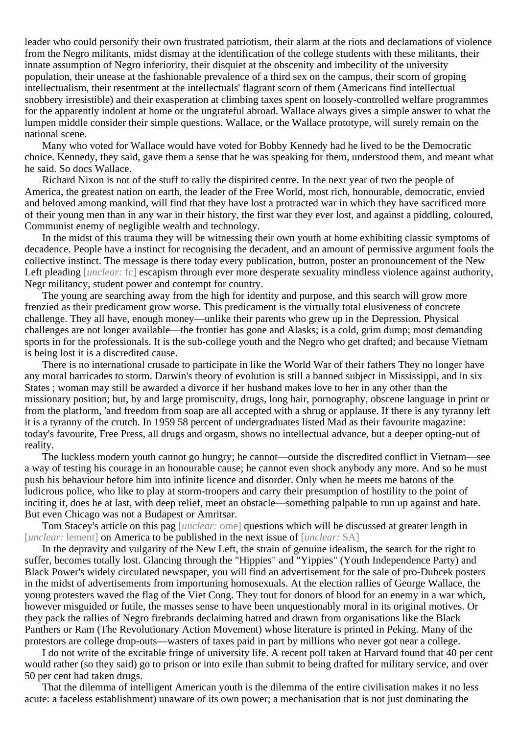leader who could personify their own frustrated patriotism, their alarm at the riots and declamations of violence from the Negro militants, midst dismay at the identification of the college students with these militants, their innate assumption of Negro inferiority, their disquiet at the obscenity and imbecility of the university population, their unease at the fashionable prevalence of a third sex on the campus, their scorn of groping intellectualism, their resentment at the intellectuals' flagrant scorn of them (Americans find intellectual snobbery irresistible) and their exasperation at climbing taxes spent on loosely-controlled welfare programmes for the apparently indolent at home or the ungrateful abroad. Wallace always gives a simple answer to what the lumpen middle consider their simple questions. Wallace, or the Wallace prototype, will surely remain on the national scene.

Many who voted for Wallace would have voted for Bobby Kennedy had he lived to be the Democratic choice. Kennedy, they said, gave them a sense that he was speaking for them, understood them, and meant what he said. So docs Wallace.

Richard Nixon is not of the stuff to rally the dispirited centre. In the next year of two the people of America, the greatest nation on earth, the leader of the Free World, most rich, honourable, democratic, envied and beloved among mankind, will find that they have lost a protracted war in which they have sacrificed more of their young men than in any war in their history, the first war they ever lost, and against a piddling, coloured, Communist enemy of negligible wealth and technology.

In the midst of this trauma they will be witnessing their own youth at home exhibiting classic symptoms of decadence. People have a instinct for recognising the decadent, and an amount of permissive argument fools the collective instinct. The message is there today every publication, button, poster an pronouncement of the New Left pleading [*unclear:* fc] escapism through ever more desperate sexuality mindless violence against authority, Negr militancy, student power and contempt for country.

The young are searching away from the high for identity and purpose, and this search will grow more frenzied as their predicament grow worse. This predicament is the virtually total elusiveness of concrete challenge. They all have, enough money—unlike their parents who grew up in the Depression. Physical challenges are not longer available—the frontier has gone and Alasks; is a cold, grim dump; most demanding sports in for the professionals. It is the sub-college youth and the Negro who get drafted; and because Vietnam is being lost it is a discredited cause.

There is no international crusade to participate in like the World War of their fathers They no longer have any moral barricades to storm. Darwin's theory of evolution is still a banned subject in Mississippi, and in six States ; woman may still be awarded a divorce if her husband makes love to her in any other than the missionary position; but, by and large promiscuity, drugs, long hair, pornography, obscene language in print or from the platform, 'and freedom from soap are all accepted with a shrug or applause. If there is any tyranny left it is a tyranny of the crutch. In 1959 58 percent of undergraduates listed Mad as their favourite magazine: today's favourite, Free Press, all drugs and orgasm, shows no intellectual advance, but a deeper opting-out of reality.

The luckless modern youth cannot go hungry; he cannot—outside the discredited conflict in Vietnam—see a way of testing his courage in an honourable cause; he cannot even shock anybody any more. And so he must push his behaviour before him into infinite licence and disorder. Only when he meets me batons of the ludicrous police, who like to play at storm-troopers and carry their presumption of hostility to the point of inciting it, does he at last, with deep relief, meet an obstacle—something palpable to run up against and hate. But even Chicago was not a Budapest or Amritsar.

Tom Stacey's article on this pag [*unclear:* ome] questions which will be discussed at greater length in [*unclear:* lement] on America to be published in the next issue of [*unclear:* SA]

In the depravity and vulgarity of the New Left, the strain of genuine idealism, the search for the right to suffer, becomes totally lost. Glancing through the "Hippies" and "Yippies" (Youth Independence Party) and Black Power's widely circulated newspaper, you will find an advertisement for the sale of pro-Dubcek posters in the midst of advertisements from importuning homosexuals. At the election rallies of George Wallace, the young protesters waved the flag of the Viet Cong. They tout for donors of blood for an enemy in a war which, however misguided or futile, the masses sense to have been unquestionably moral in its original motives. Or they pack the rallies of Negro firebrands declaiming hatred and drawn from organisations like the Black Panthers or Ram (The Revolutionary Action Movement) whose literature is printed in Peking. Many of the protestors are college drop-outs—wasters of taxes paid in part by millions who never got near a college.

I do not write of the excitable fringe of university life. A recent poll taken at Harvard found that 40 per cent would rather (so they said) go to prison or into exile than submit to being drafted for military service, and over 50 per cent had taken drugs.

That the dilemma of intelligent American youth is the dilemma of the entire civilisation makes it no less acute: a faceless establishment) unaware of its own power; a mechanisation that is not just dominating the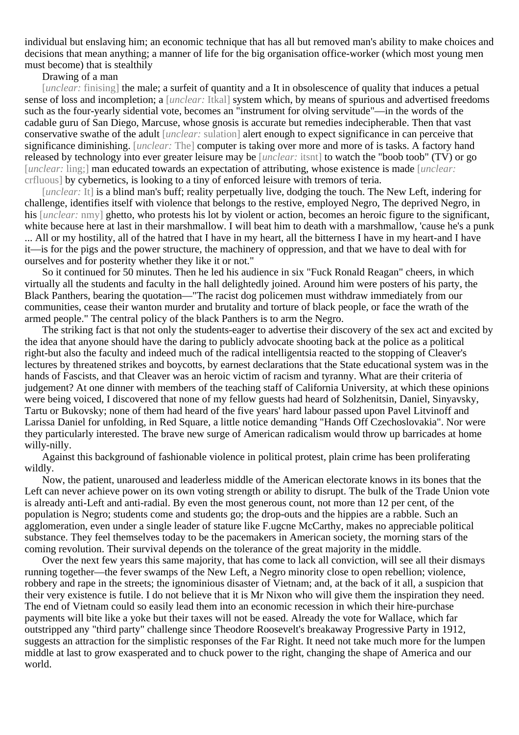individual but enslaving him; an economic technique that has all but removed man's ability to make choices and decisions that mean anything; a manner of life for the big organisation office-worker (which most young men must become) that is stealthily

#### Drawing of a man

[*unclear:* finising] the male; a surfeit of quantity and a It in obsolescence of quality that induces a petual sense of loss and incompletion; a [*unclear:* Itkal] system which, by means of spurious and advertised freedoms such as the four-yearly sidential vote, becomes an "instrument for olving servitude"—in the words of the cadable guru of San Diego, Marcuse, whose gnosis is accurate but remedies indecipherable. Then that vast conservative swathe of the adult [*unclear:* sulation] alert enough to expect significance in can perceive that significance diminishing. [*unclear:* The] computer is taking over more and more of is tasks. A factory hand released by technology into ever greater leisure may be [*unclear:* itsnt] to watch the "boob toob" (TV) or go [*unclear:* ling;] man educated towards an expectation of attributing, whose existence is made [*unclear:* crfluous] by cybernetics, is looking to a tiny of enforced leisure with tremors of teria.

[*unclear*: It] is a blind man's buff; reality perpetually live, dodging the touch. The New Left, indering for challenge, identifies itself with violence that belongs to the restive, employed Negro, The deprived Negro, in his *[unclear:* nmy] ghetto, who protests his lot by violent or action, becomes an heroic figure to the significant, white because here at last in their marshmallow. I will beat him to death with a marshmallow, 'cause he's a punk ... All or my hostility, all of the hatred that I have in my heart, all the bitterness I have in my heart-and I have it—is for the pigs and the power structure, the machinery of oppression, and that we have to deal with for ourselves and for posterity whether they like it or not."

So it continued for 50 minutes. Then he led his audience in six "Fuck Ronald Reagan" cheers, in which virtually all the students and faculty in the hall delightedly joined. Around him were posters of his party, the Black Panthers, bearing the quotation—"The racist dog policemen must withdraw immediately from our communities, cease their wanton murder and brutality and torture of black people, or face the wrath of the armed people." The central policy of the black Panthers is to arm the Negro.

The striking fact is that not only the students-eager to advertise their discovery of the sex act and excited by the idea that anyone should have the daring to publicly advocate shooting back at the police as a political right-but also the faculty and indeed much of the radical intelligentsia reacted to the stopping of Cleaver's lectures by threatened strikes and boycotts, by earnest declarations that the State educational system was in the hands of Fascists, and that Cleaver was an heroic victim of racism and tyranny. What are their criteria of judgement? At one dinner with members of the teaching staff of California University, at which these opinions were being voiced, I discovered that none of my fellow guests had heard of Solzhenitsin, Daniel, Sinyavsky, Tartu or Bukovsky; none of them had heard of the five years' hard labour passed upon Pavel Litvinoff and Larissa Daniel for unfolding, in Red Square, a little notice demanding "Hands Off Czechoslovakia". Nor were they particularly interested. The brave new surge of American radicalism would throw up barricades at home willy-nilly.

Against this background of fashionable violence in political protest, plain crime has been proliferating wildly.

Now, the patient, unaroused and leaderless middle of the American electorate knows in its bones that the Left can never achieve power on its own voting strength or ability to disrupt. The bulk of the Trade Union vote is already anti-Left and anti-radial. By even the most generous count, not more than 12 per cent, of the population is Negro; students come and students go; the drop-outs and the hippies are a rabble. Such an agglomeration, even under a single leader of stature like F.ugcne McCarthy, makes no appreciable political substance. They feel themselves today to be the pacemakers in American society, the morning stars of the coming revolution. Their survival depends on the tolerance of the great majority in the middle.

Over the next few years this same majority, that has come to lack all conviction, will see all their dismays running together—the fever swamps of the New Left, a Negro minority close to open rebellion; violence, robbery and rape in the streets; the ignominious disaster of Vietnam; and, at the back of it all, a suspicion that their very existence is futile. I do not believe that it is Mr Nixon who will give them the inspiration they need. The end of Vietnam could so easily lead them into an economic recession in which their hire-purchase payments will bite like a yoke but their taxes will not be eased. Already the vote for Wallace, which far outstripped any "third party" challenge since Theodore Roosevelt's breakaway Progressive Party in 1912, suggests an attraction for the simplistic responses of the Far Right. It need not take much more for the lumpen middle at last to grow exasperated and to chuck power to the right, changing the shape of America and our world.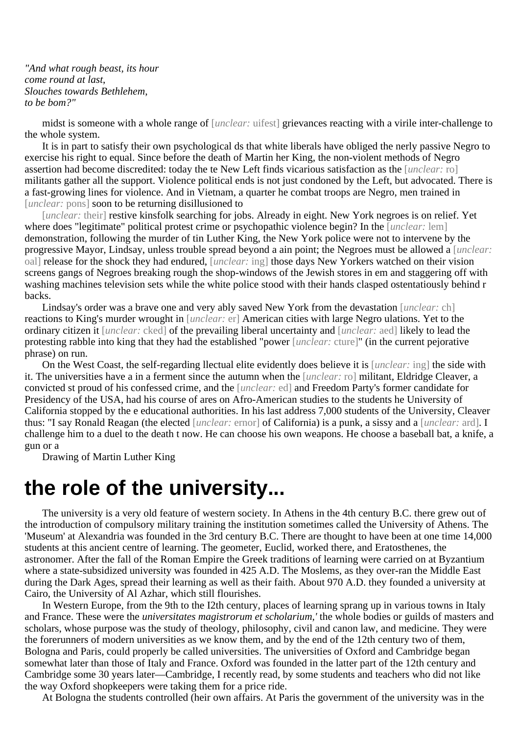*"And what rough beast, its hour come round at last*, *Slouches towards Bethlehem*, *to be bom?"*

midst is someone with a whole range of [*unclear:* uifest] grievances reacting with a virile inter-challenge to the whole system.

It is in part to satisfy their own psychological ds that white liberals have obliged the nerly passive Negro to exercise his right to equal. Since before the death of Martin her King, the non-violent methods of Negro assertion had become discredited: today the te New Left finds vicarious satisfaction as the [*unclear:* ro] militants gather all the support. Violence political ends is not just condoned by the Left, but advocated. There is a fast-growing lines for violence. And in Vietnam, a quarter he combat troops are Negro, men trained in [*unclear:* pons] soon to be returning disillusioned to

[*unclear:* their] restive kinsfolk searching for jobs. Already in eight. New York negroes is on relief. Yet where does "legitimate" political protest crime or psychopathic violence begin? In the [*unclear:* lem] demonstration, following the murder of tin Luther King, the New York police were not to intervene by the progressive Mayor, Lindsay, unless trouble spread beyond a ain point; the Negroes must be allowed a [*unclear:* oal] release for the shock they had endured, [*unclear:* ing] those days New Yorkers watched on their vision screens gangs of Negroes breaking rough the shop-windows of the Jewish stores in em and staggering off with washing machines television sets while the white police stood with their hands clasped ostentatiously behind r backs.

Lindsay's order was a brave one and very ably saved New York from the devastation [*unclear:* ch] reactions to King's murder wrought in [*unclear:* er] American cities with large Negro ulations. Yet to the ordinary citizen it [*unclear:* cked] of the prevailing liberal uncertainty and [*unclear:* aed] likely to lead the protesting rabble into king that they had the established "power [*unclear:* cture]" (in the current pejorative phrase) on run.

On the West Coast, the self-regarding llectual elite evidently does believe it is [*unclear:* ing] the side with it. The universities have a in a ferment since the autumn when the [*unclear:* ro] militant, Eldridge Cleaver, a convicted st proud of his confessed crime, and the [*unclear:* ed] and Freedom Party's former candidate for Presidency of the USA, had his course of ares on Afro-American studies to the students he University of California stopped by the e educational authorities. In his last address 7,000 students of the University, Cleaver thus: "I say Ronald Reagan (the elected [*unclear:* ernor] of California) is a punk, a sissy and a [*unclear:* ard]. I challenge him to a duel to the death t now. He can choose his own weapons. He choose a baseball bat, a knife, a gun or a

Drawing of Martin Luther King

### **the role of the university...**

The university is a very old feature of western society. In Athens in the 4th century B.C. there grew out of the introduction of compulsory military training the institution sometimes called the University of Athens. The 'Museum' at Alexandria was founded in the 3rd century B.C. There are thought to have been at one time 14,000 students at this ancient centre of learning. The geometer, Euclid, worked there, and Eratosthenes, the astronomer. After the fall of the Roman Empire the Greek traditions of learning were carried on at Byzantium where a state-subsidized university was founded in 425 A.D. The Moslems, as they over-ran the Middle East during the Dark Ages, spread their learning as well as their faith. About 970 A.D. they founded a university at Cairo, the University of Al Azhar, which still flourishes.

In Western Europe, from the 9th to the I2th century, places of learning sprang up in various towns in Italy and France. These were the *universitates magistrorum et scholarium,'* the whole bodies or guilds of masters and scholars, whose purpose was the study of theology, philosophy, civil and canon law, and medicine. They were the forerunners of modern universities as we know them, and by the end of the 12th century two of them, Bologna and Paris, could properly be called universities. The universities of Oxford and Cambridge began somewhat later than those of Italy and France. Oxford was founded in the latter part of the 12th century and Cambridge some 30 years later—Cambridge, I recently read, by some students and teachers who did not like the way Oxford shopkeepers were taking them for a price ride.

At Bologna the students controlled (heir own affairs. At Paris the government of the university was in the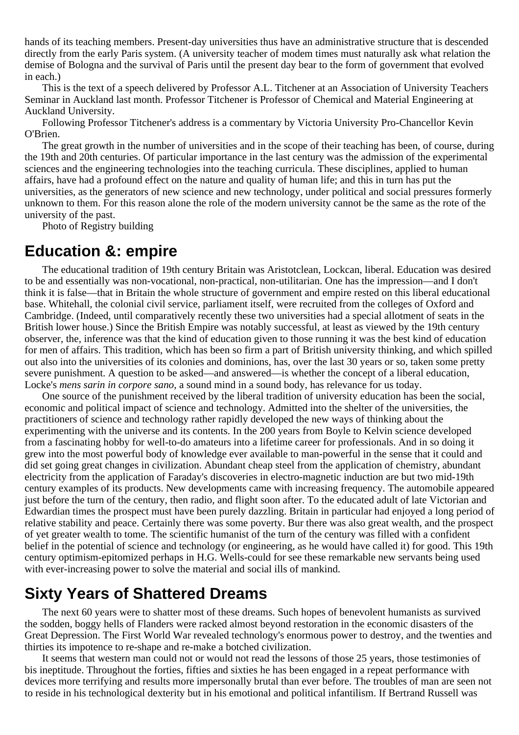hands of its teaching members. Present-day universities thus have an administrative structure that is descended directly from the early Paris system. (A university teacher of modem times must naturally ask what relation the demise of Bologna and the survival of Paris until the present day bear to the form of government that evolved in each.)

This is the text of a speech delivered by Professor A.L. Titchener at an Association of University Teachers Seminar in Auckland last month. Professor Titchener is Professor of Chemical and Material Engineering at Auckland University.

Following Professor Titchener's address is a commentary by Victoria University Pro-Chancellor Kevin O'Brien.

The great growth in the number of universities and in the scope of their teaching has been, of course, during the 19th and 20th centuries. Of particular importance in the last century was the admission of the experimental sciences and the engineering technologies into the teaching curricula. These disciplines, applied to human affairs, have had a profound effect on the nature and quality of human life; and this in turn has put the universities, as the generators of new science and new technology, under political and social pressures formerly unknown to them. For this reason alone the role of the modern university cannot be the same as the rote of the university of the past.

Photo of Registry building

#### **Education &: empire**

The educational tradition of 19th century Britain was Aristotclean, Lockcan, liberal. Education was desired to be and essentially was non-vocational, non-practical, non-utilitarian. One has the impression—and I don't think it is false—that in Britain the whole structure of government and empire rested on this liberal educational base. Whitehall, the colonial civil service, parliament itself, were recruited from the colleges of Oxford and Cambridge. (Indeed, until comparatively recently these two universities had a special allotment of seats in the British lower house.) Since the British Empire was notably successful, at least as viewed by the 19th century observer, the, inference was that the kind of education given to those running it was the best kind of education for men of affairs. This tradition, which has been so firm a part of British university thinking, and which spilled out also into the universities of its colonies and dominions, has, over the last 30 years or so, taken some pretty severe punishment. A question to be asked—and answered—is whether the concept of a liberal education, Locke's *mens sarin in corpore sano*, a sound mind in a sound body, has relevance for us today.

One source of the punishment received by the liberal tradition of university education has been the social, economic and political impact of science and technology. Admitted into the shelter of the universities, the practitioners of science and technology rather rapidly developed the new ways of thinking about the experimenting with the universe and its contents. In the 200 years from Boyle to Kelvin science developed from a fascinating hobby for well-to-do amateurs into a lifetime career for professionals. And in so doing it grew into the most powerful body of knowledge ever available to man-powerful in the sense that it could and did set going great changes in civilization. Abundant cheap steel from the application of chemistry, abundant electricity from the application of Faraday's discoveries in electro-magnetic induction are but two mid-19th century examples of its products. New developments came with increasing frequency. The automobile appeared just before the turn of the century, then radio, and flight soon after. To the educated adult of late Victorian and Edwardian times the prospect must have been purely dazzling. Britain in particular had enjoyed a long period of relative stability and peace. Certainly there was some poverty. Bur there was also great wealth, and the prospect of yet greater wealth to tome. The scientific humanist of the turn of the century was filled with a confident belief in the potential of science and technology (or engineering, as he would have called it) for good. This 19th century optimism-epitomized perhaps in H.G. Wells-could for see these remarkable new servants being used with ever-increasing power to solve the material and social ills of mankind.

### **Sixty Years of Shattered Dreams**

The next 60 years were to shatter most of these dreams. Such hopes of benevolent humanists as survived the sodden, boggy hells of Flanders were racked almost beyond restoration in the economic disasters of the Great Depression. The First World War revealed technology's enormous power to destroy, and the twenties and thirties its impotence to re-shape and re-make a botched civilization.

It seems that western man could not or would not read the lessons of those 25 years, those testimonies of bis ineptitude. Throughout the forties, fifties and sixties he has been engaged in a repeat performance with devices more terrifying and results more impersonally brutal than ever before. The troubles of man are seen not to reside in his technological dexterity but in his emotional and political infantilism. If Bertrand Russell was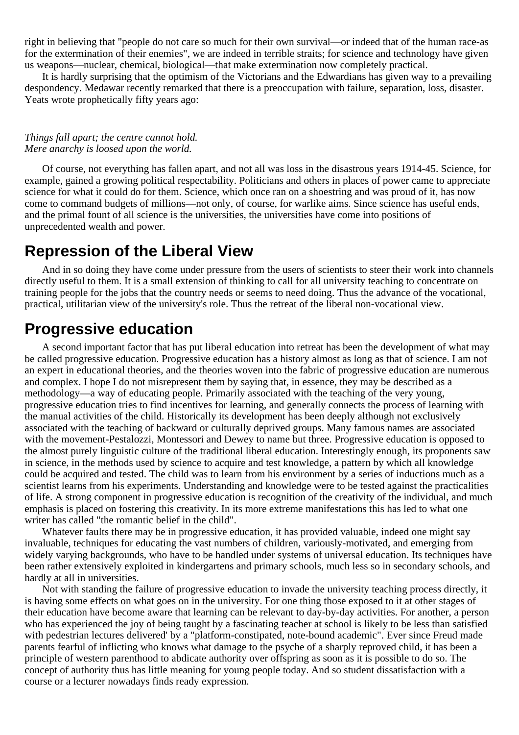right in believing that "people do not care so much for their own survival—or indeed that of the human race-as for the extermination of their enemies", we are indeed in terrible straits; for science and technology have given us weapons—nuclear, chemical, biological—that make extermination now completely practical.

It is hardly surprising that the optimism of the Victorians and the Edwardians has given way to a prevailing despondency. Medawar recently remarked that there is a preoccupation with failure, separation, loss, disaster. Yeats wrote prophetically fifty years ago:

#### *Things fall apart; the centre cannot hold. Mere anarchy is loosed upon the world.*

Of course, not everything has fallen apart, and not all was loss in the disastrous years 1914-45. Science, for example, gained a growing political respectability. Politicians and others in places of power came to appreciate science for what it could do for them. Science, which once ran on a shoestring and was proud of it, has now come to command budgets of millions—not only, of course, for warlike aims. Since science has useful ends, and the primal fount of all science is the universities, the universities have come into positions of unprecedented wealth and power.

### **Repression of the Liberal View**

And in so doing they have come under pressure from the users of scientists to steer their work into channels directly useful to them. It is a small extension of thinking to call for all university teaching to concentrate on training people for the jobs that the country needs or seems to need doing. Thus the advance of the vocational, practical, utilitarian view of the university's role. Thus the retreat of the liberal non-vocational view.

### **Progressive education**

A second important factor that has put liberal education into retreat has been the development of what may be called progressive education. Progressive education has a history almost as long as that of science. I am not an expert in educational theories, and the theories woven into the fabric of progressive education are numerous and complex. I hope I do not misrepresent them by saying that, in essence, they may be described as a methodology—a way of educating people. Primarily associated with the teaching of the very young, progressive education tries to find incentives for learning, and generally connects the process of learning with the manual activities of the child. Historically its development has been deeply although not exclusively associated with the teaching of backward or culturally deprived groups. Many famous names are associated with the movement-Pestalozzi, Montessori and Dewey to name but three. Progressive education is opposed to the almost purely linguistic culture of the traditional liberal education. Interestingly enough, its proponents saw in science, in the methods used by science to acquire and test knowledge, a pattern by which all knowledge could be acquired and tested. The child was to learn from his environment by a series of inductions much as a scientist learns from his experiments. Understanding and knowledge were to be tested against the practicalities of life. A strong component in progressive education is recognition of the creativity of the individual, and much emphasis is placed on fostering this creativity. In its more extreme manifestations this has led to what one writer has called "the romantic belief in the child".

Whatever faults there may be in progressive education, it has provided valuable, indeed one might say invaluable, techniques for educating the vast numbers of children, variously-motivated, and emerging from widely varying backgrounds, who have to be handled under systems of universal education. Its techniques have been rather extensively exploited in kindergartens and primary schools, much less so in secondary schools, and hardly at all in universities.

Not with standing the failure of progressive education to invade the university teaching process directly, it is having some effects on what goes on in the university. For one thing those exposed to it at other stages of their education have become aware that learning can be relevant to day-by-day activities. For another, a person who has experienced the joy of being taught by a fascinating teacher at school is likely to be less than satisfied with pedestrian lectures delivered' by a "platform-constipated, note-bound academic". Ever since Freud made parents fearful of inflicting who knows what damage to the psyche of a sharply reproved child, it has been a principle of western parenthood to abdicate authority over offspring as soon as it is possible to do so. The concept of authority thus has little meaning for young people today. And so student dissatisfaction with a course or a lecturer nowadays finds ready expression.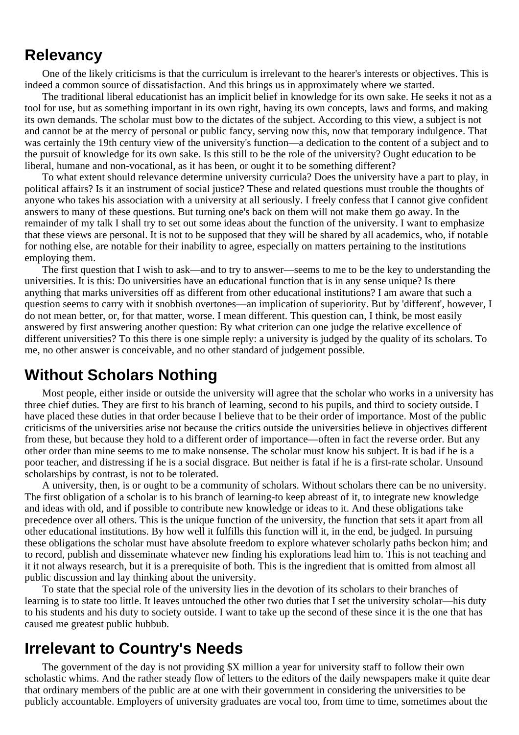#### **Relevancy**

One of the likely criticisms is that the curriculum is irrelevant to the hearer's interests or objectives. This is indeed a common source of dissatisfaction. And this brings us in approximately where we started.

The traditional liberal educationist has an implicit belief in knowledge for its own sake. He seeks it not as a tool for use, but as something important in its own right, having its own concepts, laws and forms, and making its own demands. The scholar must bow to the dictates of the subject. According to this view, a subject is not and cannot be at the mercy of personal or public fancy, serving now this, now that temporary indulgence. That was certainly the 19th century view of the university's function—a dedication to the content of a subject and to the pursuit of knowledge for its own sake. Is this still to be the role of the university? Ought education to be liberal, humane and non-vocational, as it has been, or ought it to be something different?

To what extent should relevance determine university curricula? Does the university have a part to play, in political affairs? Is it an instrument of social justice? These and related questions must trouble the thoughts of anyone who takes his association with a university at all seriously. I freely confess that I cannot give confident answers to many of these questions. But turning one's back on them will not make them go away. In the remainder of my talk I shall try to set out some ideas about the function of the university. I want to emphasize that these views are personal. It is not to be supposed that they will be shared by all academics, who, if notable for nothing else, are notable for their inability to agree, especially on matters pertaining to the institutions employing them.

The first question that I wish to ask—and to try to answer—seems to me to be the key to understanding the universities. It is this: Do universities have an educational function that is in any sense unique? Is there anything that marks universities off as different from other educational institutions? I am aware that such a question seems to carry with it snobbish overtones—an implication of superiority. But by 'different', however, I do not mean better, or, for that matter, worse. I mean different. This question can, I think, be most easily answered by first answering another question: By what criterion can one judge the relative excellence of different universities? To this there is one simple reply: a university is judged by the quality of its scholars. To me, no other answer is conceivable, and no other standard of judgement possible.

#### **Without Scholars Nothing**

Most people, either inside or outside the university will agree that the scholar who works in a university has three chief duties. They are first to his branch of learning, second to his pupils, and third to society outside. I have placed these duties in that order because I believe that to be their order of importance. Most of the public criticisms of the universities arise not because the critics outside the universities believe in objectives different from these, but because they hold to a different order of importance—often in fact the reverse order. But any other order than mine seems to me to make nonsense. The scholar must know his subject. It is bad if he is a poor teacher, and distressing if he is a social disgrace. But neither is fatal if he is a first-rate scholar. Unsound scholarships by contrast, is not to be tolerated.

A university, then, is or ought to be a community of scholars. Without scholars there can be no university. The first obligation of a scholar is to his branch of learning-to keep abreast of it, to integrate new knowledge and ideas with old, and if possible to contribute new knowledge or ideas to it. And these obligations take precedence over all others. This is the unique function of the university, the function that sets it apart from all other educational institutions. By how well it fulfills this function will it, in the end, be judged. In pursuing these obligations the scholar must have absolute freedom to explore whatever scholarly paths beckon him; and to record, publish and disseminate whatever new finding his explorations lead him to. This is not teaching and it it not always research, but it is a prerequisite of both. This is the ingredient that is omitted from almost all public discussion and lay thinking about the university.

To state that the special role of the university lies in the devotion of its scholars to their branches of learning is to state too little. It leaves untouched the other two duties that I set the university scholar—his duty to his students and his duty to society outside. I want to take up the second of these since it is the one that has caused me greatest public hubbub.

#### **Irrelevant to Country's Needs**

The government of the day is not providing \$X million a year for university staff to follow their own scholastic whims. And the rather steady flow of letters to the editors of the daily newspapers make it quite dear that ordinary members of the public are at one with their government in considering the universities to be publicly accountable. Employers of university graduates are vocal too, from time to time, sometimes about the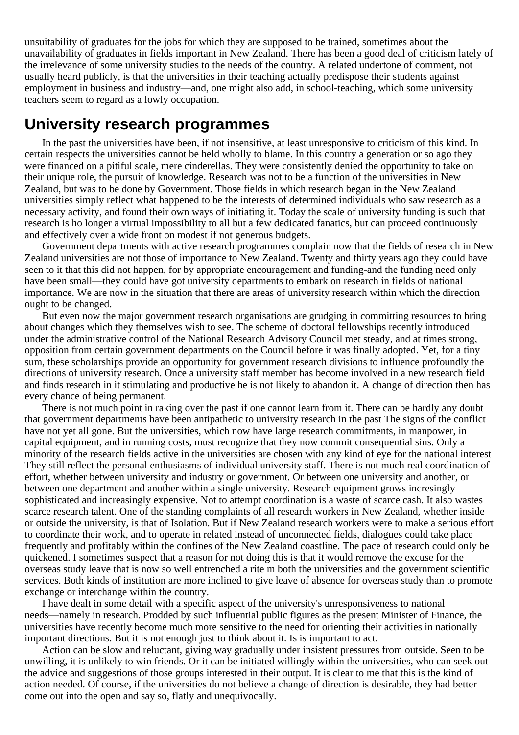unsuitability of graduates for the jobs for which they are supposed to be trained, sometimes about the unavailability of graduates in fields important in New Zealand. There has been a good deal of criticism lately of the irrelevance of some university studies to the needs of the country. A related undertone of comment, not usually heard publicly, is that the universities in their teaching actually predispose their students against employment in business and industry—and, one might also add, in school-teaching, which some university teachers seem to regard as a lowly occupation.

#### **University research programmes**

In the past the universities have been, if not insensitive, at least unresponsive to criticism of this kind. In certain respects the universities cannot be held wholly to blame. In this country a generation or so ago they were financed on a pitiful scale, mere cinderellas. They were consistently denied the opportunity to take on their unique role, the pursuit of knowledge. Research was not to be a function of the universities in New Zealand, but was to be done by Government. Those fields in which research began in the New Zealand universities simply reflect what happened to be the interests of determined individuals who saw research as a necessary activity, and found their own ways of initiating it. Today the scale of university funding is such that research is ho longer a virtual impossibility to all but a few dedicated fanatics, but can proceed continuously and effectively over a wide front on modest if not generous budgets.

Government departments with active research programmes complain now that the fields of research in New Zealand universities are not those of importance to New Zealand. Twenty and thirty years ago they could have seen to it that this did not happen, for by appropriate encouragement and funding-and the funding need only have been small—they could have got university departments to embark on research in fields of national importance. We are now in the situation that there are areas of university research within which the direction ought to be changed.

But even now the major government research organisations are grudging in committing resources to bring about changes which they themselves wish to see. The scheme of doctoral fellowships recently introduced under the administrative control of the National Research Advisory Council met steady, and at times strong, opposition from certain government departments on the Council before it was finally adopted. Yet, for a tiny sum, these scholarships provide an opportunity for government research divisions to influence profoundly the directions of university research. Once a university staff member has become involved in a new research field and finds research in it stimulating and productive he is not likely to abandon it. A change of direction then has every chance of being permanent.

There is not much point in raking over the past if one cannot learn from it. There can be hardly any doubt that government departments have been antipathetic to university research in the past The signs of the conflict have not yet all gone. But the universities, which now have large research commitments, in manpower, in capital equipment, and in running costs, must recognize that they now commit consequential sins. Only a minority of the research fields active in the universities are chosen with any kind of eye for the national interest They still reflect the personal enthusiasms of individual university staff. There is not much real coordination of effort, whether between university and industry or government. Or between one university and another, or between one department and another within a single university. Research equipment grows incresingly sophisticated and increasingly expensive. Not to attempt coordination is a waste of scarce cash. It also wastes scarce research talent. One of the standing complaints of all research workers in New Zealand, whether inside or outside the university, is that of Isolation. But if New Zealand research workers were to make a serious effort to coordinate their work, and to operate in related instead of unconnected fields, dialogues could take place frequently and profitably within the confines of the New Zealand coastline. The pace of research could only be quickened. I sometimes suspect that a reason for not doing this is that it would remove the excuse for the overseas study leave that is now so well entrenched a rite m both the universities and the government scientific services. Both kinds of institution are more inclined to give leave of absence for overseas study than to promote exchange or interchange within the country.

I have dealt in some detail with a specific aspect of the university's unresponsiveness to national needs—namely in research. Prodded by such influential public figures as the present Minister of Finance, the universities have recently become much more sensitive to the need for orienting their activities in nationally important directions. But it is not enough just to think about it. Is is important to act.

Action can be slow and reluctant, giving way gradually under insistent pressures from outside. Seen to be unwilling, it is unlikely to win friends. Or it can be initiated willingly within the universities, who can seek out the advice and suggestions of those groups interested in their output. It is clear to me that this is the kind of action needed. Of course, if the universities do not believe a change of direction is desirable, they had better come out into the open and say so, flatly and unequivocally.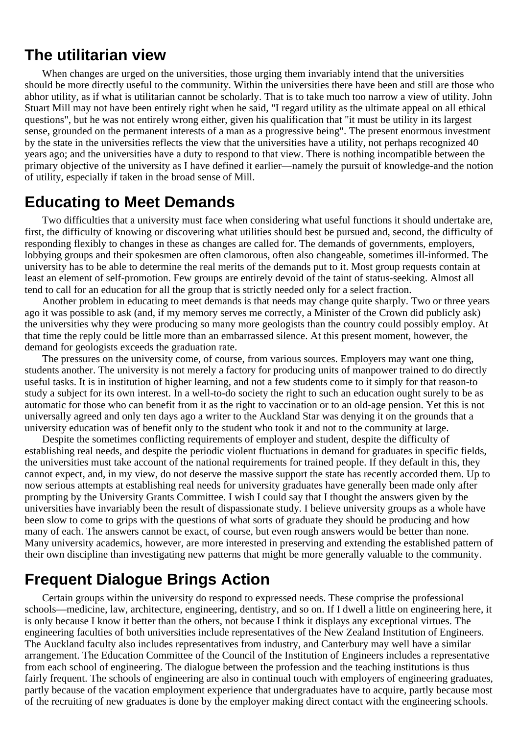#### **The utilitarian view**

When changes are urged on the universities, those urging them invariably intend that the universities should be more directly useful to the community. Within the universities there have been and still are those who abhor utility, as if what is utilitarian cannot be scholarly. That is to take much too narrow a view of utility. John Stuart Mill may not have been entirely right when he said, "I regard utility as the ultimate appeal on all ethical questions", but he was not entirely wrong either, given his qualification that "it must be utility in its largest sense, grounded on the permanent interests of a man as a progressive being". The present enormous investment by the state in the universities reflects the view that the universities have a utility, not perhaps recognized 40 years ago; and the universities have a duty to respond to that view. There is nothing incompatible between the primary objective of the university as I have defined it earlier—namely the pursuit of knowledge-and the notion of utility, especially if taken in the broad sense of Mill.

### **Educating to Meet Demands**

Two difficulties that a university must face when considering what useful functions it should undertake are, first, the difficulty of knowing or discovering what utilities should best be pursued and, second, the difficulty of responding flexibly to changes in these as changes are called for. The demands of governments, employers, lobbying groups and their spokesmen are often clamorous, often also changeable, sometimes ill-informed. The university has to be able to determine the real merits of the demands put to it. Most group requests contain at least an element of self-promotion. Few groups are entirely devoid of the taint of status-seeking. Almost all tend to call for an education for all the group that is strictly needed only for a select fraction.

Another problem in educating to meet demands is that needs may change quite sharply. Two or three years ago it was possible to ask (and, if my memory serves me correctly, a Minister of the Crown did publicly ask) the universities why they were producing so many more geologists than the country could possibly employ. At that time the reply could be little more than an embarrassed silence. At this present moment, however, the demand for geologists exceeds the graduation rate.

The pressures on the university come, of course, from various sources. Employers may want one thing, students another. The university is not merely a factory for producing units of manpower trained to do directly useful tasks. It is in institution of higher learning, and not a few students come to it simply for that reason-to study a subject for its own interest. In a well-to-do society the right to such an education ought surely to be as automatic for those who can benefit from it as the right to vaccination or to an old-age pension. Yet this is not universally agreed and only ten days ago a writer to the Auckland Star was denying it on the grounds that a university education was of benefit only to the student who took it and not to the community at large.

Despite the sometimes conflicting requirements of employer and student, despite the difficulty of establishing real needs, and despite the periodic violent fluctuations in demand for graduates in specific fields, the universities must take account of the national requirements for trained people. If they default in this, they cannot expect, and, in my view, do not deserve the massive support the state has recently accorded them. Up to now serious attempts at establishing real needs for university graduates have generally been made only after prompting by the University Grants Committee. I wish I could say that I thought the answers given by the universities have invariably been the result of dispassionate study. I believe university groups as a whole have been slow to come to grips with the questions of what sorts of graduate they should be producing and how many of each. The answers cannot be exact, of course, but even rough answers would be better than none. Many university academics, however, are more interested in preserving and extending the established pattern of their own discipline than investigating new patterns that might be more generally valuable to the community.

### **Frequent Dialogue Brings Action**

Certain groups within the university do respond to expressed needs. These comprise the professional schools—medicine, law, architecture, engineering, dentistry, and so on. If I dwell a little on engineering here, it is only because I know it better than the others, not because I think it displays any exceptional virtues. The engineering faculties of both universities include representatives of the New Zealand Institution of Engineers. The Auckland faculty also includes representatives from industry, and Canterbury may well have a similar arrangement. The Education Committee of the Council of the Institution of Engineers includes a representative from each school of engineering. The dialogue between the profession and the teaching institutions is thus fairly frequent. The schools of engineering are also in continual touch with employers of engineering graduates, partly because of the vacation employment experience that undergraduates have to acquire, partly because most of the recruiting of new graduates is done by the employer making direct contact with the engineering schools.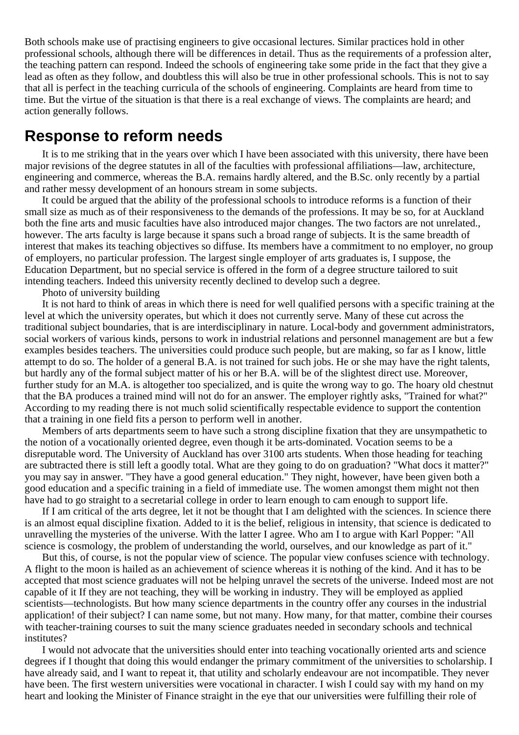Both schools make use of practising engineers to give occasional lectures. Similar practices hold in other professional schools, although there will be differences in detail. Thus as the requirements of a profession alter, the teaching pattern can respond. Indeed the schools of engineering take some pride in the fact that they give a lead as often as they follow, and doubtless this will also be true in other professional schools. This is not to say that all is perfect in the teaching curricula of the schools of engineering. Complaints are heard from time to time. But the virtue of the situation is that there is a real exchange of views. The complaints are heard; and action generally follows.

#### **Response to reform needs**

It is to me striking that in the years over which I have been associated with this university, there have been major revisions of the degree statutes in all of the faculties with professional affiliations—law, architecture, engineering and commerce, whereas the B.A. remains hardly altered, and the B.Sc. only recently by a partial and rather messy development of an honours stream in some subjects.

It could be argued that the ability of the professional schools to introduce reforms is a function of their small size as much as of their responsiveness to the demands of the professions. It may be so, for at Auckland both the fine arts and music faculties have also introduced major changes. The two factors are not unrelated., however. The arts faculty is large because it spans such a broad range of subjects. It is the same breadth of interest that makes its teaching objectives so diffuse. Its members have a commitment to no employer, no group of employers, no particular profession. The largest single employer of arts graduates is, I suppose, the Education Department, but no special service is offered in the form of a degree structure tailored to suit intending teachers. Indeed this university recently declined to develop such a degree.

Photo of university building

It is not hard to think of areas in which there is need for well qualified persons with a specific training at the level at which the university operates, but which it does not currently serve. Many of these cut across the traditional subject boundaries, that is are interdisciplinary in nature. Local-body and government administrators, social workers of various kinds, persons to work in industrial relations and personnel management are but a few examples besides teachers. The universities could produce such people, but are making, so far as I know, little attempt to do so. The holder of a general B.A. is not trained for such jobs. He or she may have the right talents, but hardly any of the formal subject matter of his or her B.A. will be of the slightest direct use. Moreover, further study for an M.A. is altogether too specialized, and is quite the wrong way to go. The hoary old chestnut that the BA produces a trained mind will not do for an answer. The employer rightly asks, "Trained for what?" According to my reading there is not much solid scientifically respectable evidence to support the contention that a training in one field fits a person to perform well in another.

Members of arts departments seem to have such a strong discipline fixation that they are unsympathetic to the notion of a vocationally oriented degree, even though it be arts-dominated. Vocation seems to be a disreputable word. The University of Auckland has over 3100 arts students. When those heading for teaching are subtracted there is still left a goodly total. What are they going to do on graduation? "What docs it matter?" you may say in answer. "They have a good general education." They night, however, have been given both a good education and a specific training in a field of immediate use. The women amongst them might not then have had to go straight to a secretarial college in order to learn enough to cam enough to support life.

If I am critical of the arts degree, let it not be thought that I am delighted with the sciences. In science there is an almost equal discipline fixation. Added to it is the belief, religious in intensity, that science is dedicated to unravelling the mysteries of the universe. With the latter I agree. Who am I to argue with Karl Popper: "All science is cosmology, the problem of understanding the world, ourselves, and our knowledge as part of it."

But this, of course, is not the popular view of science. The popular view confuses science with technology. A flight to the moon is hailed as an achievement of science whereas it is nothing of the kind. And it has to be accepted that most science graduates will not be helping unravel the secrets of the universe. Indeed most are not capable of it If they are not teaching, they will be working in industry. They will be employed as applied scientists—technologists. But how many science departments in the country offer any courses in the industrial application! of their subject? I can name some, but not many. How many, for that matter, combine their courses with teacher-training courses to suit the many science graduates needed in secondary schools and technical institutes?

I would not advocate that the universities should enter into teaching vocationally oriented arts and science degrees if I thought that doing this would endanger the primary commitment of the universities to scholarship. I have already said, and I want to repeat it, that utility and scholarly endeavour are not incompatible. They never have been. The first western universities were vocational in character. I wish I could say with my hand on my heart and looking the Minister of Finance straight in the eye that our universities were fulfilling their role of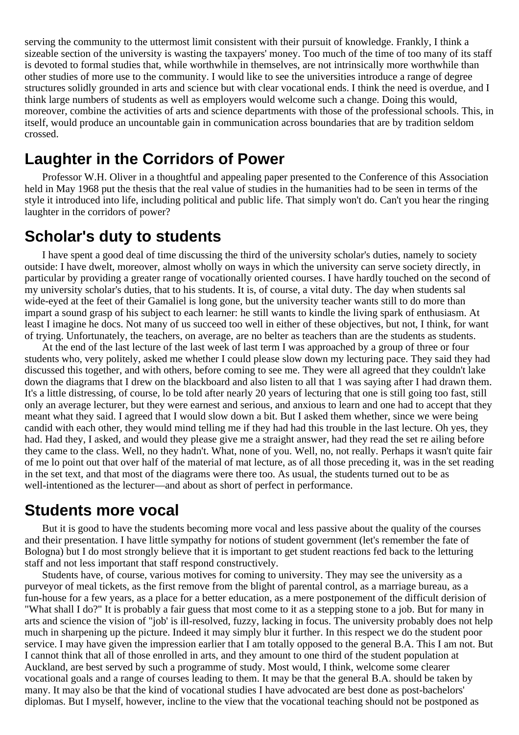serving the community to the uttermost limit consistent with their pursuit of knowledge. Frankly, I think a sizeable section of the university is wasting the taxpayers' money. Too much of the time of too many of its staff is devoted to formal studies that, while worthwhile in themselves, are not intrinsically more worthwhile than other studies of more use to the community. I would like to see the universities introduce a range of degree structures solidly grounded in arts and science but with clear vocational ends. I think the need is overdue, and I think large numbers of students as well as employers would welcome such a change. Doing this would, moreover, combine the activities of arts and science departments with those of the professional schools. This, in itself, would produce an uncountable gain in communication across boundaries that are by tradition seldom crossed.

#### **Laughter in the Corridors of Power**

Professor W.H. Oliver in a thoughtful and appealing paper presented to the Conference of this Association held in May 1968 put the thesis that the real value of studies in the humanities had to be seen in terms of the style it introduced into life, including political and public life. That simply won't do. Can't you hear the ringing laughter in the corridors of power?

#### **Scholar's duty to students**

I have spent a good deal of time discussing the third of the university scholar's duties, namely to society outside: I have dwelt, moreover, almost wholly on ways in which the university can serve society directly, in particular by providing a greater range of vocationally oriented courses. I have hardly touched on the second of my university scholar's duties, that to his students. It is, of course, a vital duty. The day when students sal wide-eyed at the feet of their Gamaliel is long gone, but the university teacher wants still to do more than impart a sound grasp of his subject to each learner: he still wants to kindle the living spark of enthusiasm. At least I imagine he docs. Not many of us succeed too well in either of these objectives, but not, I think, for want of trying. Unfortunately, the teachers, on average, are no belter as teachers than are the students as students.

At the end of the last lecture of the last week of last term I was approached by a group of three or four students who, very politely, asked me whether I could please slow down my lecturing pace. They said they had discussed this together, and with others, before coming to see me. They were all agreed that they couldn't lake down the diagrams that I drew on the blackboard and also listen to all that 1 was saying after I had drawn them. It's a little distressing, of course, lo be told after nearly 20 years of lecturing that one is still going too fast, still only an average lecturer, but they were earnest and serious, and anxious to learn and one had to accept that they meant what they said. I agreed that I would slow down a bit. But I asked them whether, since we were being candid with each other, they would mind telling me if they had had this trouble in the last lecture. Oh yes, they had. Had they, I asked, and would they please give me a straight answer, had they read the set re ailing before they came to the class. Well, no they hadn't. What, none of you. Well, no, not really. Perhaps it wasn't quite fair of me lo point out that over half of the material of mat lecture, as of all those preceding it, was in the set reading in the set text, and that most of the diagrams were there too. As usual, the students turned out to be as well-intentioned as the lecturer—and about as short of perfect in performance.

#### **Students more vocal**

But it is good to have the students becoming more vocal and less passive about the quality of the courses and their presentation. I have little sympathy for notions of student government (let's remember the fate of Bologna) but I do most strongly believe that it is important to get student reactions fed back to the letturing staff and not less important that staff respond constructively.

Students have, of course, various motives for coming to university. They may see the university as a purveyor of meal tickets, as the first remove from the blight of parental control, as a marriage bureau, as a fun-house for a few years, as a place for a better education, as a mere postponement of the difficult derision of "What shall I do?" It is probably a fair guess that most come to it as a stepping stone to a job. But for many in arts and science the vision of "job' is ill-resolved, fuzzy, lacking in focus. The university probably does not help much in sharpening up the picture. Indeed it may simply blur it further. In this respect we do the student poor service. I may have given the impression earlier that I am totally opposed to the general B.A. This I am not. But I cannot think that all of those enrolled in arts, and they amount to one third of the student population at Auckland, are best served by such a programme of study. Most would, I think, welcome some clearer vocational goals and a range of courses leading to them. It may be that the general B.A. should be taken by many. It may also be that the kind of vocational studies I have advocated are best done as post-bachelors' diplomas. But I myself, however, incline to the view that the vocational teaching should not be postponed as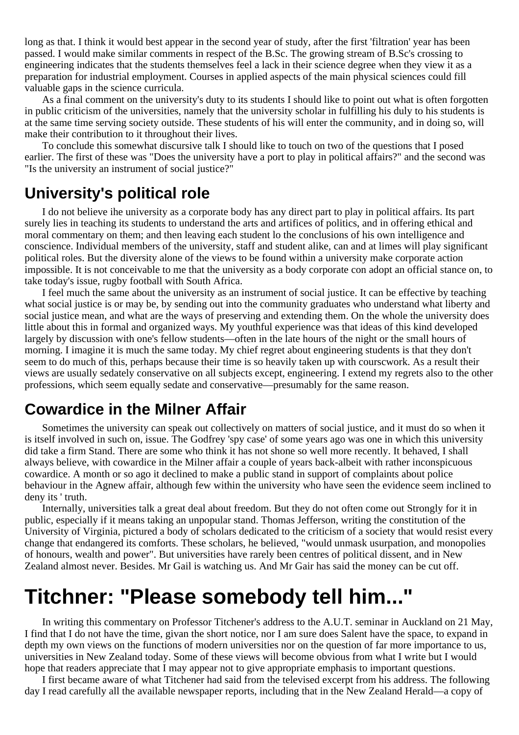long as that. I think it would best appear in the second year of study, after the first 'filtration' year has been passed. I would make similar comments in respect of the B.Sc. The growing stream of B.Sc's crossing to engineering indicates that the students themselves feel a lack in their science degree when they view it as a preparation for industrial employment. Courses in applied aspects of the main physical sciences could fill valuable gaps in the science curricula.

As a final comment on the university's duty to its students I should like to point out what is often forgotten in public criticism of the universities, namely that the university scholar in fulfilling his duly to his students is at the same time serving society outside. These students of his will enter the community, and in doing so, will make their contribution to it throughout their lives.

To conclude this somewhat discursive talk I should like to touch on two of the questions that I posed earlier. The first of these was "Does the university have a port to play in political affairs?" and the second was "Is the university an instrument of social justice?"

#### **University's political role**

I do not believe ihe university as a corporate body has any direct part to play in political affairs. Its part surely lies in teaching its students to understand the arts and artifices of politics, and in offering ethical and moral commentary on them; and then leaving each student lo the conclusions of his own intelligence and conscience. Individual members of the university, staff and student alike, can and at limes will play significant political roles. But the diversity alone of the views to be found within a university make corporate action impossible. It is not conceivable to me that the university as a body corporate con adopt an official stance on, to take today's issue, rugby football with South Africa.

I feel much the same about the university as an instrument of social justice. It can be effective by teaching what social justice is or may be, by sending out into the community graduates who understand what liberty and social justice mean, and what are the ways of preserving and extending them. On the whole the university does little about this in formal and organized ways. My youthful experience was that ideas of this kind developed largely by discussion with one's fellow students—often in the late hours of the night or the small hours of morning. I imagine it is much the same today. My chief regret about engineering students is that they don't seem to do much of this, perhaps because their time is so heavily taken up with courscwork. As a result their views are usually sedately conservative on all subjects except, engineering. I extend my regrets also to the other professions, which seem equally sedate and conservative—presumably for the same reason.

### **Cowardice in the Milner Affair**

Sometimes the university can speak out collectively on matters of social justice, and it must do so when it is itself involved in such on, issue. The Godfrey 'spy case' of some years ago was one in which this university did take a firm Stand. There are some who think it has not shone so well more recently. It behaved, I shall always believe, with cowardice in the Milner affair a couple of years back-albeit with rather inconspicuous cowardice. A month or so ago it declined to make a public stand in support of complaints about police behaviour in the Agnew affair, although few within the university who have seen the evidence seem inclined to deny its ' truth.

Internally, universities talk a great deal about freedom. But they do not often come out Strongly for it in public, especially if it means taking an unpopular stand. Thomas Jefferson, writing the constitution of the University of Virginia, pictured a body of scholars dedicated to the criticism of a society that would resist every change that endangered its comforts. These scholars, he believed, "would unmask usurpation, and monopolies of honours, wealth and power". But universities have rarely been centres of political dissent, and in New Zealand almost never. Besides. Mr Gail is watching us. And Mr Gair has said the money can be cut off.

# **Titchner: "Please somebody tell him..."**

In writing this commentary on Professor Titchener's address to the A.U.T. seminar in Auckland on 21 May, I find that I do not have the time, givan the short notice, nor I am sure does Salent have the space, to expand in depth my own views on the functions of modern universities nor on the question of far more importance to us, universities in New Zealand today. Some of these views will become obvious from what I write but I would hope that readers appreciate that I may appear not to give appropriate emphasis to important questions.

I first became aware of what Titchener had said from the televised excerpt from his address. The following day I read carefully all the available newspaper reports, including that in the New Zealand Herald—a copy of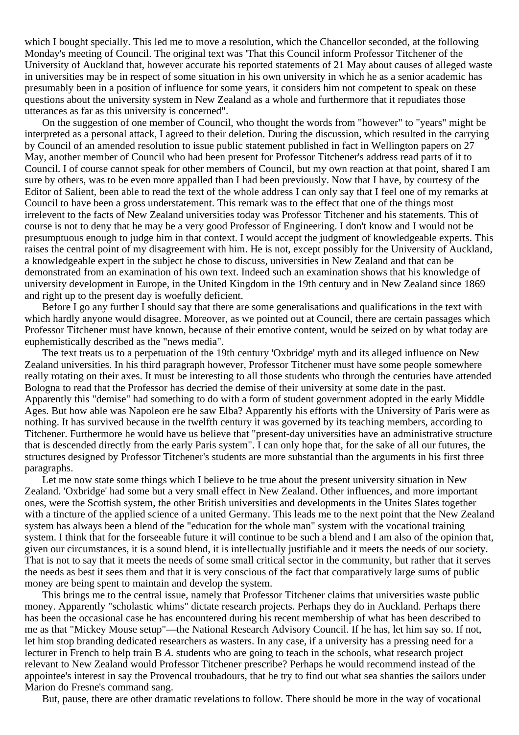which I bought specially. This led me to move a resolution, which the Chancellor seconded, at the following Monday's meeting of Council. The original text was 'That this Council inform Professor Titchener of the University of Auckland that, however accurate his reported statements of 21 May about causes of alleged waste in universities may be in respect of some situation in his own university in which he as a senior academic has presumably been in a position of influence for some years, it considers him not competent to speak on these questions about the university system in New Zealand as a whole and furthermore that it repudiates those utterances as far as this university is concerned".

On the suggestion of one member of Council, who thought the words from "however" to "years" might be interpreted as a personal attack, I agreed to their deletion. During the discussion, which resulted in the carrying by Council of an amended resolution to issue public statement published in fact in Wellington papers on 27 May, another member of Council who had been present for Professor Titchener's address read parts of it to Council. I of course cannot speak for other members of Council, but my own reaction at that point, shared I am sure by others, was to be even more appalled than I had been previously. Now that I have, by courtesy of the Editor of Salient, been able to read the text of the whole address I can only say that I feel one of my remarks at Council to have been a gross understatement. This remark was to the effect that one of the things most irrelevent to the facts of New Zealand universities today was Professor Titchener and his statements. This of course is not to deny that he may be a very good Professor of Engineering. I don't know and I would not be presumptuous enough to judge him in that context. I would accept the judgment of knowledgeable experts. This raises the central point of my disagreement with him. He is not, except possibly for the University of Auckland, a knowledgeable expert in the subject he chose to discuss, universities in New Zealand and that can be demonstrated from an examination of his own text. Indeed such an examination shows that his knowledge of university development in Europe, in the United Kingdom in the 19th century and in New Zealand since 1869 and right up to the present day is woefully deficient.

Before I go any further I should say that there are some generalisations and qualifications in the text with which hardly anyone would disagree. Moreover, as we pointed out at Council, there are certain passages which Professor Titchener must have known, because of their emotive content, would be seized on by what today are euphemistically described as the "news media".

The text treats us to a perpetuation of the 19th century 'Oxbridge' myth and its alleged influence on New Zealand universities. In his third paragraph however, Professor Titchener must have some people somewhere really rotating on their axes. It must be interesting to all those students who through the centuries have attended Bologna to read that the Professor has decried the demise of their university at some date in the past. Apparently this "demise" had something to do with a form of student government adopted in the early Middle Ages. But how able was Napoleon ere he saw Elba? Apparently his efforts with the University of Paris were as nothing. It has survived because in the twelfth century it was governed by its teaching members, according to Titchener. Furthermore he would have us believe that "present-day universities have an administrative structure that is descended directly from the early Paris system". I can only hope that, for the sake of all our futures, the structures designed by Professor Titchener's students are more substantial than the arguments in his first three paragraphs.

Let me now state some things which I believe to be true about the present university situation in New Zealand. 'Oxbridge' had some but a very small effect in New Zealand. Other influences, and more important ones, were the Scottish system, the other British universities and developments in the Unites Slates together with a tincture of the applied science of a united Germany. This leads me to the next point that the New Zealand system has always been a blend of the "education for the whole man" system with the vocational training system. I think that for the forseeable future it will continue to be such a blend and I am also of the opinion that, given our circumstances, it is a sound blend, it is intellectually justifiable and it meets the needs of our society. That is not to say that it meets the needs of some small critical sector in the community, but rather that it serves the needs as best it sees them and that it is very conscious of the fact that comparatively large sums of public money are being spent to maintain and develop the system.

This brings me to the central issue, namely that Professor Titchener claims that universities waste public money. Apparently "scholastic whims" dictate research projects. Perhaps they do in Auckland. Perhaps there has been the occasional case he has encountered during his recent membership of what has been described to me as that "Mickey Mouse setup"—the National Research Advisory Council. If he has, let him say so. If not, let him stop branding dedicated researchers as wasters. In any case, if a university has a pressing need for a lecturer in French to help train B *A*. students who are going to teach in the schools, what research project relevant to New Zealand would Professor Titchener prescribe? Perhaps he would recommend instead of the appointee's interest in say the Provencal troubadours, that he try to find out what sea shanties the sailors under Marion do Fresne's command sang.

But, pause, there are other dramatic revelations to follow. There should be more in the way of vocational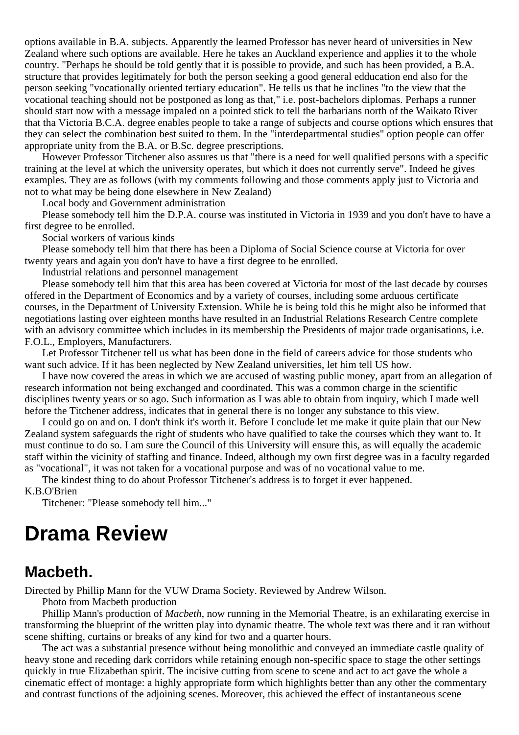options available in B.A. subjects. Apparently the learned Professor has never heard of universities in New Zealand where such options are available. Here he takes an Auckland experience and applies it to the whole country. "Perhaps he should be told gently that it is possible to provide, and such has been provided, a B.A. structure that provides legitimately for both the person seeking a good general edducation end also for the person seeking "vocationally oriented tertiary education". He tells us that he inclines "to the view that the vocational teaching should not be postponed as long as that," i.e. post-bachelors diplomas. Perhaps a runner should start now with a message impaled on a pointed stick to tell the barbarians north of the Waikato River that tha Victoria B.C.A. degree enables people to take a range of subjects and course options which ensures that they can select the combination best suited to them. In the "interdepartmental studies" option people can offer appropriate unity from the B.A. or B.Sc. degree prescriptions.

However Professor Titchener also assures us that "there is a need for well qualified persons with a specific training at the level at which the university operates, but which it does not currently serve". Indeed he gives examples. They are as follows (with my comments following and those comments apply just to Victoria and not to what may be being done elsewhere in New Zealand)

Local body and Government administration

Please somebody tell him the D.P.A. course was instituted in Victoria in 1939 and you don't have to have a first degree to be enrolled.

Social workers of various kinds

Please somebody tell him that there has been a Diploma of Social Science course at Victoria for over twenty years and again you don't have to have a first degree to be enrolled.

Industrial relations and personnel management

Please somebody tell him that this area has been covered at Victoria for most of the last decade by courses offered in the Department of Economics and by a variety of courses, including some arduous certificate courses, in the Department of University Extension. While he is being told this he might also be informed that negotiations lasting over eighteen months have resulted in an Industrial Relations Research Centre complete with an advisory committee which includes in its membership the Presidents of major trade organisations, i.e. F.O.L., Employers, Manufacturers.

Let Professor Titchener tell us what has been done in the field of careers advice for those students who want such advice. If it has been neglected by New Zealand universities, let him tell US how.

I have now covered the areas in which we are accused of wasting public money, apart from an allegation of research information not being exchanged and coordinated. This was a common charge in the scientific disciplines twenty years or so ago. Such information as I was able to obtain from inquiry, which I made well before the Titchener address, indicates that in general there is no longer any substance to this view.

I could go on and on. I don't think it's worth it. Before I conclude let me make it quite plain that our New Zealand system safeguards the right of students who have qualified to take the courses which they want to. It must continue to do so. I am sure the Council of this University will ensure this, as will equally the academic staff within the vicinity of staffing and finance. Indeed, although my own first degree was in a faculty regarded as "vocational", it was not taken for a vocational purpose and was of no vocational value to me.

The kindest thing to do about Professor Titchener's address is to forget it ever happened. K.B.O'Brien

Titchener: "Please somebody tell him..."

### **Drama Review**

#### **Macbeth.**

Directed by Phillip Mann for the VUW Drama Society. Reviewed by Andrew Wilson.

Photo from Macbeth production

Phillip Mann's production of *Macbeth*, now running in the Memorial Theatre, is an exhilarating exercise in transforming the blueprint of the written play into dynamic theatre. The whole text was there and it ran without scene shifting, curtains or breaks of any kind for two and a quarter hours.

The act was a substantial presence without being monolithic and conveyed an immediate castle quality of heavy stone and receding dark corridors while retaining enough non-specific space to stage the other settings quickly in true Elizabethan spirit. The incisive cutting from scene to scene and act to act gave the whole a cinematic effect of montage: a highly appropriate form which highlights better than any other the commentary and contrast functions of the adjoining scenes. Moreover, this achieved the effect of instantaneous scene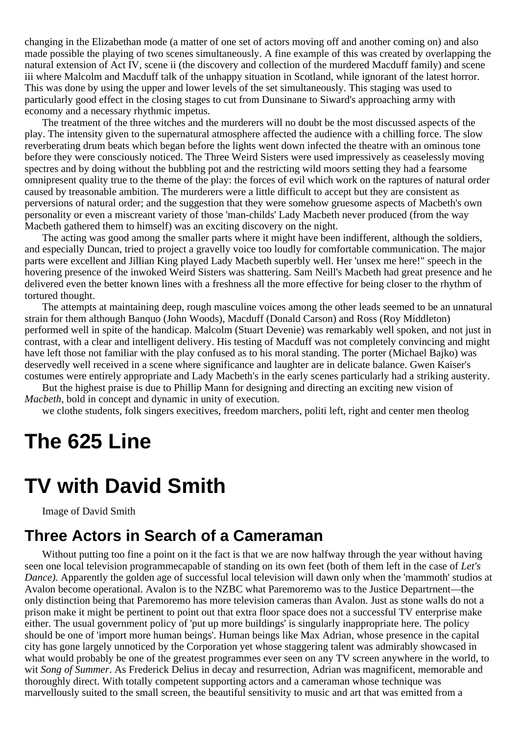changing in the Elizabethan mode (a matter of one set of actors moving off and another coming on) and also made possible the playing of two scenes simultaneously. A fine example of this was created by overlapping the natural extension of Act IV, scene ii (the discovery and collection of the murdered Macduff family) and scene iii where Malcolm and Macduff talk of the unhappy situation in Scotland, while ignorant of the latest horror. This was done by using the upper and lower levels of the set simultaneously. This staging was used to particularly good effect in the closing stages to cut from Dunsinane to Siward's approaching army with economy and a necessary rhythmic impetus.

The treatment of the three witches and the murderers will no doubt be the most discussed aspects of the play. The intensity given to the supernatural atmosphere affected the audience with a chilling force. The slow reverberating drum beats which began before the lights went down infected the theatre with an ominous tone before they were consciously noticed. The Three Weird Sisters were used impressively as ceaselessly moving spectres and by doing without the bubbling pot and the restricting wild moors setting they had a fearsome omnipresent quality true to the theme of the play: the forces of evil which work on the raptures of natural order caused by treasonable ambition. The murderers were a little difficult to accept but they are consistent as perversions of natural order; and the suggestion that they were somehow gruesome aspects of Macbeth's own personality or even a miscreant variety of those 'man-childs' Lady Macbeth never produced (from the way Macbeth gathered them to himself) was an exciting discovery on the night.

The acting was good among the smaller parts where it might have been indifferent, although the soldiers, and especially Duncan, tried to project a gravelly voice too loudly for comfortable communication. The major parts were excellent and Jillian King played Lady Macbeth superbly well. Her 'unsex me here!" speech in the hovering presence of the inwoked Weird Sisters was shattering. Sam Neill's Macbeth had great presence and he delivered even the better known lines with a freshness all the more effective for being closer to the rhythm of tortured thought.

The attempts at maintaining deep, rough masculine voices among the other leads seemed to be an unnatural strain for them although Banquo (John Woods), Macduff (Donald Carson) and Ross (Roy Middleton) performed well in spite of the handicap. Malcolm (Stuart Devenie) was remarkably well spoken, and not just in contrast, with a clear and intelligent delivery. His testing of Macduff was not completely convincing and might have left those not familiar with the play confused as to his moral standing. The porter (Michael Bajko) was deservedly well received in a scene where significance and laughter are in delicate balance. Gwen Kaiser's costumes were entirely appropriate and Lady Macbeth's in the early scenes particularly had a striking austerity.

But the highest praise is due to Phillip Mann for designing and directing an exciting new vision of *Macbeth*, bold in concept and dynamic in unity of execution.

we clothe students, folk singers execitives, freedom marchers, politi left, right and center men theolog

# **The 625 Line**

### **TV with David Smith**

Image of David Smith

### **Three Actors in Search of a Cameraman**

Without putting too fine a point on it the fact is that we are now halfway through the year without having seen one local television programmecapable of standing on its own feet (both of them left in the case of *Let's Dance*). Apparently the golden age of successful local television will dawn only when the 'mammoth' studios at Avalon become operational. Avalon is to the NZBC what Paremoremo was to the Justice Departrnent—the only distinction being that Paremoremo has more television cameras than Avalon. Just as stone walls do not a prison make it might be pertinent to point out that extra floor space does not a successful TV enterprise make either. The usual government policy of 'put up more buildings' is singularly inappropriate here. The policy should be one of 'import more human beings'. Human beings like Max Adrian, whose presence in the capital city has gone largely unnoticed by the Corporation yet whose staggering talent was admirably showcased in what would probably be one of the greatest programmes ever seen on any TV screen anywhere in the world, to wit *Song of Summer*. As Frederick Delius in decay and resurrection, Adrian was magnificent, memorable and thoroughly direct. With totally competent supporting actors and a cameraman whose technique was marvellously suited to the small screen, the beautiful sensitivity to music and art that was emitted from a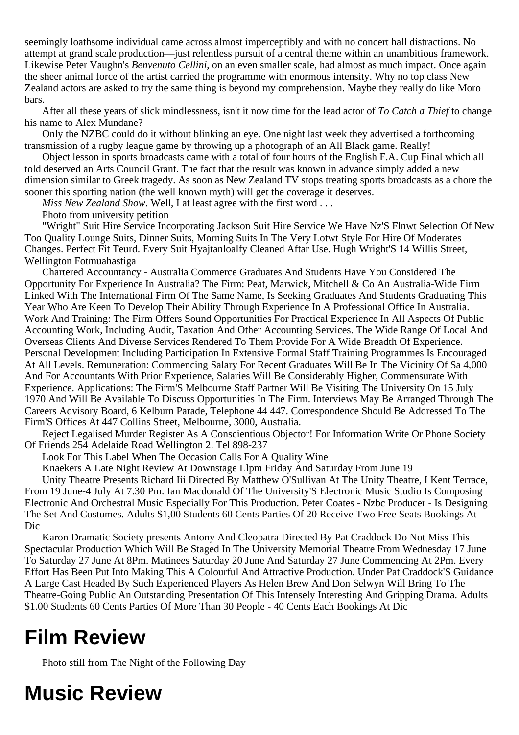seemingly loathsome individual came across almost imperceptibly and with no concert hall distractions. No attempt at grand scale production—just relentless pursuit of a central theme within an unambitious framework. Likewise Peter Vaughn's *Benvenuto Cellini*, on an even smaller scale, had almost as much impact. Once again the sheer animal force of the artist carried the programme with enormous intensity. Why no top class New Zealand actors are asked to try the same thing is beyond my comprehension. Maybe they really do like Moro bars.

After all these years of slick mindlessness, isn't it now time for the lead actor of *To Catch a Thief* to change his name to Alex Mundane?

Only the NZBC could do it without blinking an eye. One night last week they advertised a forthcoming transmission of a rugby league game by throwing up a photograph of an All Black game. Really!

Object lesson in sports broadcasts came with a total of four hours of the English F.A. Cup Final which all told deserved an Arts Council Grant. The fact that the result was known in advance simply added a new dimension similar to Greek tragedy. As soon as New Zealand TV stops treating sports broadcasts as a chore the sooner this sporting nation (the well known myth) will get the coverage it deserves.

*Miss New Zealand Show*. Well, I at least agree with the first word . . .

Photo from university petition

"Wright" Suit Hire Service Incorporating Jackson Suit Hire Service We Have Nz'S Flnwt Selection Of New Too Quality Lounge Suits, Dinner Suits, Morning Suits In The Very Lotwt Style For Hire Of Moderates Changes. Perfect Fit Teurd. Every Suit Hyajtanloalfy Cleaned Aftar Use. Hugh Wright'S 14 Willis Street, Wellington Fotmuahastiga

Chartered Accountancy - Australia Commerce Graduates And Students Have You Considered The Opportunity For Experience In Australia? The Firm: Peat, Marwick, Mitchell & Co An Australia-Wide Firm Linked With The International Firm Of The Same Name, Is Seeking Graduates And Students Graduating This Year Who Are Keen To Develop Their Ability Through Experience In A Professional Office In Australia. Work And Training: The Firm Offers Sound Opportunities For Practical Experience In All Aspects Of Public Accounting Work, Including Audit, Taxation And Other Accounting Services. The Wide Range Of Local And Overseas Clients And Diverse Services Rendered To Them Provide For A Wide Breadth Of Experience. Personal Development Including Participation In Extensive Formal Staff Training Programmes Is Encouraged At All Levels. Remuneration: Commencing Salary For Recent Graduates Will Be In The Vicinity Of Sa 4,000 And For Accountants With Prior Experience, Salaries Will Be Considerably Higher, Commensurate With Experience. Applications: The Firm'S Melbourne Staff Partner Will Be Visiting The University On 15 July 1970 And Will Be Available To Discuss Opportunities In The Firm. Interviews May Be Arranged Through The Careers Advisory Board, 6 Kelburn Parade, Telephone 44 447. Correspondence Should Be Addressed To The Firm'S Offices At 447 Collins Street, Melbourne, 3000, Australia.

Reject Legalised Murder Register As A Conscientious Objector! For Information Write Or Phone Society Of Friends 254 Adelaide Road Wellington 2. Tel 898-237

Look For This Label When The Occasion Calls For A Quality Wine

Knaekers A Late Night Review At Downstage Llpm Friday And Saturday From June 19

Unity Theatre Presents Richard Iii Directed By Matthew O'Sullivan At The Unity Theatre, I Kent Terrace, From 19 June-4 July At 7.30 Pm. Ian Macdonald Of The University'S Electronic Music Studio Is Composing Electronic And Orchestral Music Especially For This Production. Peter Coates - Nzbc Producer - Is Designing The Set And Costumes. Adults \$1,00 Students 60 Cents Parties Of 20 Receive Two Free Seats Bookings At Dic

Karon Dramatic Society presents Antony And Cleopatra Directed By Pat Craddock Do Not Miss This Spectacular Production Which Will Be Staged In The University Memorial Theatre From Wednesday 17 June To Saturday 27 June At 8Pm. Matinees Saturday 20 June And Saturday 27 June Commencing At 2Pm. Every Effort Has Been Put Into Making This A Colourful And Attractive Production. Under Pat Craddock'S Guidance A Large Cast Headed By Such Experienced Players As Helen Brew And Don Selwyn Will Bring To The Theatre-Going Public An Outstanding Presentation Of This Intensely Interesting And Gripping Drama. Adults \$1.00 Students 60 Cents Parties Of More Than 30 People - 40 Cents Each Bookings At Dic

# **Film Review**

Photo still from The Night of the Following Day

# **Music Review**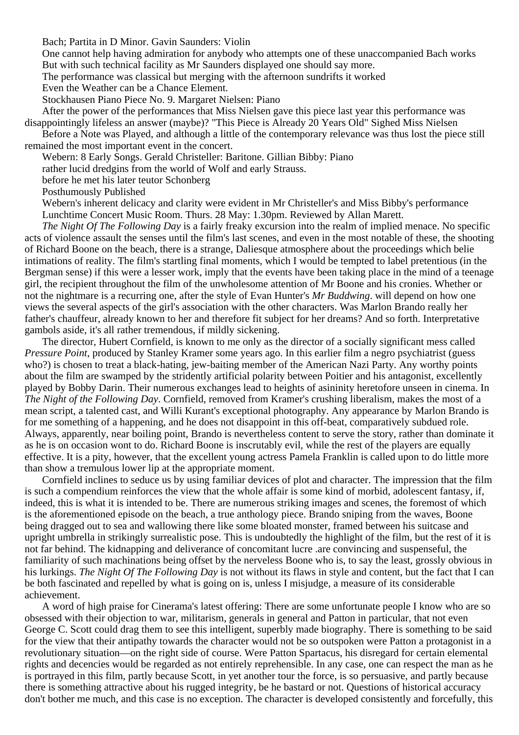Bach; Partita in D Minor. Gavin Saunders: Violin

One cannot help having admiration for anybody who attempts one of these unaccompanied Bach works But with such technical facility as Mr Saunders displayed one should say more.

The performance was classical but merging with the afternoon sundrifts it worked

Even the Weather can be a Chance Element.

Stockhausen Piano Piece No. 9. Margaret Nielsen: Piano

After the power of the performances that Miss Nielsen gave this piece last year this performance was disappointingly lifeless an answer (maybe)? "This Piece is Already 20 Years Old" Sighed Miss Nielsen

Before a Note was Played, and although a little of the contemporary relevance was thus lost the piece still remained the most important event in the concert.

Webern: 8 Early Songs. Gerald Christeller: Baritone. Gillian Bibby: Piano

rather lucid dredgins from the world of Wolf and early Strauss.

before he met his later teutor Schonberg

Posthumously Published

Webern's inherent delicacy and clarity were evident in Mr Christeller's and Miss Bibby's performance Lunchtime Concert Music Room. Thurs. 28 May: 1.30pm. Reviewed by Allan Marett.

*The Night Of The Following Day* is a fairly freaky excursion into the realm of implied menace. No specific acts of violence assault the senses until the film's last scenes, and even in the most notable of these, the shooting of Richard Boone on the beach, there is a strange, Daliesque atmosphere about the proceedings which belie intimations of reality. The film's startling final moments, which I would be tempted to label pretentious (in the Bergman sense) if this were a lesser work, imply that the events have been taking place in the mind of a teenage girl, the recipient throughout the film of the unwholesome attention of Mr Boone and his cronies. Whether or not the nightmare is a recurring one, after the style of Evan Hunter's *Mr Buddwing*. will depend on how one views the several aspects of the girl's association with the other characters. Was Marlon Brando really her father's chauffeur, already known to her and therefore fit subject for her dreams? And so forth. Interpretative gambols aside, it's all rather tremendous, if mildly sickening.

The director, Hubert Cornfield, is known to me only as the director of a socially significant mess called *Pressure Point*, produced by Stanley Kramer some years ago. In this earlier film a negro psychiatrist (guess who?) is chosen to treat a black-hating, jew-baiting member of the American Nazi Party. Any worthy points about the film are swamped by the stridently artificial polarity between Poitier and his antagonist, excellently played by Bobby Darin. Their numerous exchanges lead to heights of asininity heretofore unseen in cinema. In *The Night of the Following Day*. Cornfield, removed from Kramer's crushing liberalism, makes the most of a mean script, a talented cast, and Willi Kurant's exceptional photography. Any appearance by Marlon Brando is for me something of a happening, and he does not disappoint in this off-beat, comparatively subdued role. Always, apparently, near boiling point, Brando is nevertheless content to serve the story, rather than dominate it as he is on occasion wont to do. Richard Boone is inscrutably evil, while the rest of the players are equally effective. It is a pity, however, that the excellent young actress Pamela Franklin is called upon to do little more than show a tremulous lower lip at the appropriate moment.

Cornfield inclines to seduce us by using familiar devices of plot and character. The impression that the film is such a compendium reinforces the view that the whole affair is some kind of morbid, adolescent fantasy, if, indeed, this is what it is intended to be. There are numerous striking images and scenes, the foremost of which is the aforementioned episode on the beach, a true anthology piece. Brando sniping from the waves, Boone being dragged out to sea and wallowing there like some bloated monster, framed between his suitcase and upright umbrella in strikingly surrealistic pose. This is undoubtedly the highlight of the film, but the rest of it is not far behind. The kidnapping and deliverance of concomitant lucre .are convincing and suspenseful, the familiarity of such machinations being offset by the nerveless Boone who is, to say the least, grossly obvious in his lurkings. *The Night Of The Following Day* is not without its flaws in style and content, but the fact that I can be both fascinated and repelled by what is going on is, unless I misjudge, a measure of its considerable achievement.

A word of high praise for Cinerama's latest offering: There are some unfortunate people I know who are so obsessed with their objection to war, militarism, generals in general and Patton in particular, that not even George C. Scott could drag them to see this intelligent, superbly made biography. There is something to be said for the view that their antipathy towards the character would not be so outspoken were Patton a protagonist in a revolutionary situation—on the right side of course. Were Patton Spartacus, his disregard for certain elemental rights and decencies would be regarded as not entirely reprehensible. In any case, one can respect the man as he is portrayed in this film, partly because Scott, in yet another tour the force, is so persuasive, and partly because there is something attractive about his rugged integrity, be he bastard or not. Questions of historical accuracy don't bother me much, and this case is no exception. The character is developed consistently and forcefully, this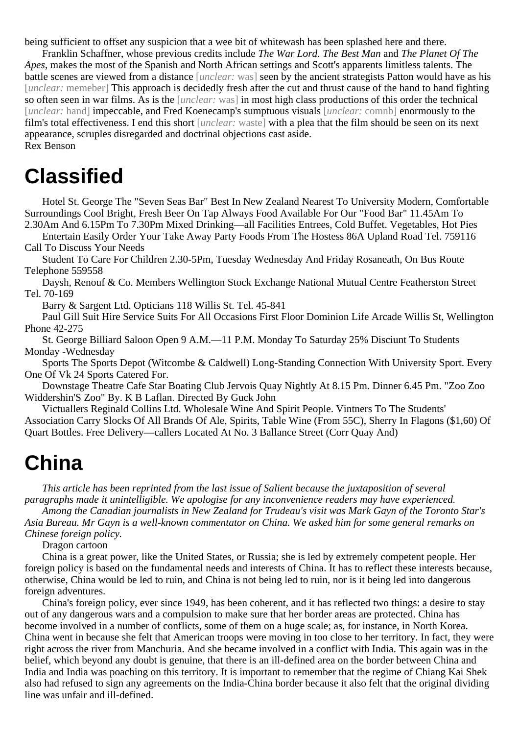being sufficient to offset any suspicion that a wee bit of whitewash has been splashed here and there.

Franklin Schaffner, whose previous credits include *The War Lord. The Best Man* and *The Planet Of The Apes*, makes the most of the Spanish and North African settings and Scott's apparents limitless talents. The battle scenes are viewed from a distance [*unclear:* was] seen by the ancient strategists Patton would have as his [*unclear:* memeber] This approach is decidedly fresh after the cut and thrust cause of the hand to hand fighting so often seen in war films. As is the [*unclear:* was] in most high class productions of this order the technical [*unclear:* hand] impeccable, and Fred Koenecamp's sumptuous visuals [*unclear:* comnb] enormously to the film's total effectiveness. I end this short [*unclear:* waste] with a plea that the film should be seen on its next appearance, scruples disregarded and doctrinal objections cast aside. Rex Benson

### **Classified**

Hotel St. George The "Seven Seas Bar" Best In New Zealand Nearest To University Modern, Comfortable Surroundings Cool Bright, Fresh Beer On Tap Always Food Available For Our "Food Bar" 11.45Am To 2.30Am And 6.15Pm To 7.30Pm Mixed Drinking—all Facilities Entrees, Cold Buffet. Vegetables, Hot Pies

Entertain Easily Order Your Take Away Party Foods From The Hostess 86A Upland Road Tel. 759116 Call To Discuss Your Needs

Student To Care For Children 2.30-5Pm, Tuesday Wednesday And Friday Rosaneath, On Bus Route Telephone 559558

Daysh, Renouf & Co. Members Wellington Stock Exchange National Mutual Centre Featherston Street Tel. 70-169

Barry & Sargent Ltd. Opticians 118 Willis St. Tel. 45-841

Paul Gill Suit Hire Service Suits For All Occasions First Floor Dominion Life Arcade Willis St, Wellington Phone 42-275

St. George Billiard Saloon Open 9 A.M.—11 P.M. Monday To Saturday 25% Disciunt To Students Monday -Wednesday

Sports The Sports Depot (Witcombe & Caldwell) Long-Standing Connection With University Sport. Every One Of Vk 24 Sports Catered For.

Downstage Theatre Cafe Star Boating Club Jervois Quay Nightly At 8.15 Pm. Dinner 6.45 Pm. "Zoo Zoo Widdershin'S Zoo" By. K B Laflan. Directed By Guck John

Victuallers Reginald Collins Ltd. Wholesale Wine And Spirit People. Vintners To The Students' Association Carry Slocks Of All Brands Of Ale, Spirits, Table Wine (From 55C), Sherry In Flagons (\$1,60) Of Quart Bottles. Free Delivery—callers Located At No. 3 Ballance Street (Corr Quay And)

### **China**

*This article has been reprinted from the last issue of Salient because the juxtaposition of several paragraphs made it unintelligible. We apologise for any inconvenience readers may have experienced.*

*Among the Canadian journalists in New Zealand for Trudeau's visit was Mark Gayn of the Toronto Star's Asia Bureau. Mr Gayn is a well-known commentator on China. We asked him for some general remarks on Chinese foreign policy.*

Dragon cartoon

China is a great power, like the United States, or Russia; she is led by extremely competent people. Her foreign policy is based on the fundamental needs and interests of China. It has to reflect these interests because, otherwise, China would be led to ruin, and China is not being led to ruin, nor is it being led into dangerous foreign adventures.

China's foreign policy, ever since 1949, has been coherent, and it has reflected two things: a desire to stay out of any dangerous wars and a compulsion to make sure that her border areas are protected. China has become involved in a number of conflicts, some of them on a huge scale; as, for instance, in North Korea. China went in because she felt that American troops were moving in too close to her territory. In fact, they were right across the river from Manchuria. And she became involved in a conflict with India. This again was in the belief, which beyond any doubt is genuine, that there is an ill-defined area on the border between China and India and India was poaching on this territory. It is important to remember that the regime of Chiang Kai Shek also had refused to sign any agreements on the India-China border because it also felt that the original dividing line was unfair and ill-defined.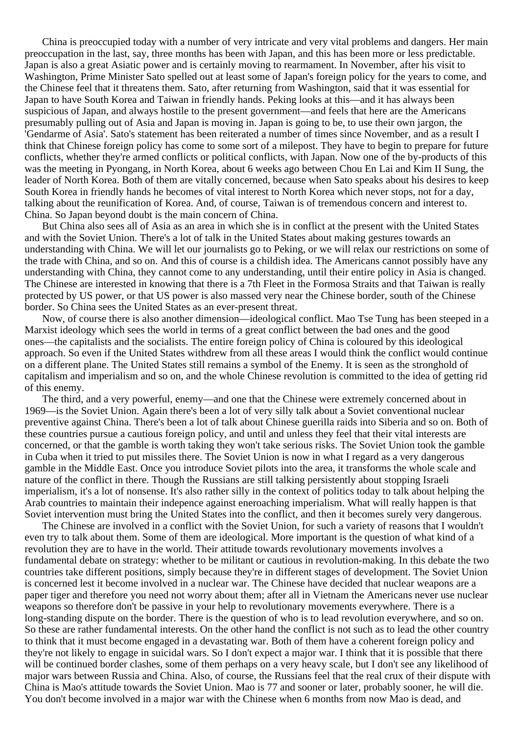China is preoccupied today with a number of very intricate and very vital problems and dangers. Her main preoccupation in the last, say, three months has been with Japan, and this has been more or less predictable. Japan is also a great Asiatic power and is certainly moving to rearmament. In November, after his visit to Washington, Prime Minister Sato spelled out at least some of Japan's foreign policy for the years to come, and the Chinese feel that it threatens them. Sato, after returning from Washington, said that it was essential for Japan to have South Korea and Taiwan in friendly hands. Peking looks at this—and it has always been suspicious of Japan, and always hostile to the present government—and feels that here are the Americans presumably pulling out of Asia and Japan is moving in. Japan is going to be, to use their own jargon, the 'Gendarme of Asia'. Sato's statement has been reiterated a number of times since November, and as a result I think that Chinese foreign policy has come to some sort of a milepost. They have to begin to prepare for future conflicts, whether they're armed conflicts or political conflicts, with Japan. Now one of the by-products of this was the meeting in Pyongang, in North Korea, about 6 weeks ago between Chou En Lai and Kim II Sung, the leader of North Korea. Both of them are vitally concerned, because when Sato speaks about his desires to keep South Korea in friendly hands he becomes of vital interest to North Korea which never stops, not for a day, talking about the reunification of Korea. And, of course, Taiwan is of tremendous concern and interest to. China. So Japan beyond doubt is the main concern of China.

But China also sees all of Asia as an area in which she is in conflict at the present with the United States and with the Soviet Union. There's a lot of talk in the United States about making gestures towards an understanding with China. We will let our journalists go to Peking, or we will relax our restrictions on some of the trade with China, and so on. And this of course is a childish idea. The Americans cannot possibly have any understanding with China, they cannot come to any understanding, until their entire policy in Asia is changed. The Chinese are interested in knowing that there is a 7th Fleet in the Formosa Straits and that Taiwan is really protected by US power, or that US power is also massed very near the Chinese border, south of the Chinese border. So China sees the United States as an ever-present threat.

Now, of course there is also another dimension—ideological conflict. Mao Tse Tung has been steeped in a Marxist ideology which sees the world in terms of a great conflict between the bad ones and the good ones—the capitalists and the socialists. The entire foreign policy of China is coloured by this ideological approach. So even if the United States withdrew from all these areas I would think the conflict would continue on a different plane. The United States still remains a symbol of the Enemy. It is seen as the stronghold of capitalism and imperialism and so on, and the whole Chinese revolution is committed to the idea of getting rid of this enemy.

The third, and a very powerful, enemy—and one that the Chinese were extremely concerned about in 1969—is the Soviet Union. Again there's been a lot of very silly talk about a Soviet conventional nuclear preventive against China. There's been a lot of talk about Chinese guerilla raids into Siberia and so on. Both of these countries pursue a cautious foreign policy, and until and unless they feel that their vital interests are concerned, or that the gamble is worth taking they won't take serious risks. The Soviet Union took the gamble in Cuba when it tried to put missiles there. The Soviet Union is now in what I regard as a very dangerous gamble in the Middle East. Once you introduce Soviet pilots into the area, it transforms the whole scale and nature of the conflict in there. Though the Russians are still talking persistently about stopping Israeli imperialism, it's a lot of nonsense. It's also rather silly in the context of politics today to talk about helping the Arab countries to maintain their indepence against eneroaching imperialism. What will really happen is that Soviet intervention must bring the United States into the conflict, and then it becomes surely very dangerous.

The Chinese are involved in a conflict with the Soviet Union, for such a variety of reasons that I wouldn't even try to talk about them. Some of them are ideological. More important is the question of what kind of a revolution they are to have in the world. Their attitude towards revolutionary movements involves a fundamental debate on strategy: whether to be militant or cautious in revolution-making. In this debate the two countries take different positions, simply because they're in different stages of development. The Soviet Union is concerned lest it become involved in a nuclear war. The Chinese have decided that nuclear weapons are a paper tiger and therefore you need not worry about them; after all in Vietnam the Americans never use nuclear weapons so therefore don't be passive in your help to revolutionary movements everywhere. There is a long-standing dispute on the border. There is the question of who is to lead revolution everywhere, and so on. So these are rather fundamental interests. On the other hand the conflict is not such as to lead the other country to think that it must become engaged in a devastating war. Both of them have a coherent foreign policy and they're not likely to engage in suicidal wars. So I don't expect a major war. I think that it is possible that there will be continued border clashes, some of them perhaps on a very heavy scale, but I don't see any likelihood of major wars between Russia and China. Also, of course, the Russians feel that the real crux of their dispute with China is Mao's attitude towards the Soviet Union. Mao is 77 and sooner or later, probably sooner, he will die. You don't become involved in a major war with the Chinese when 6 months from now Mao is dead, and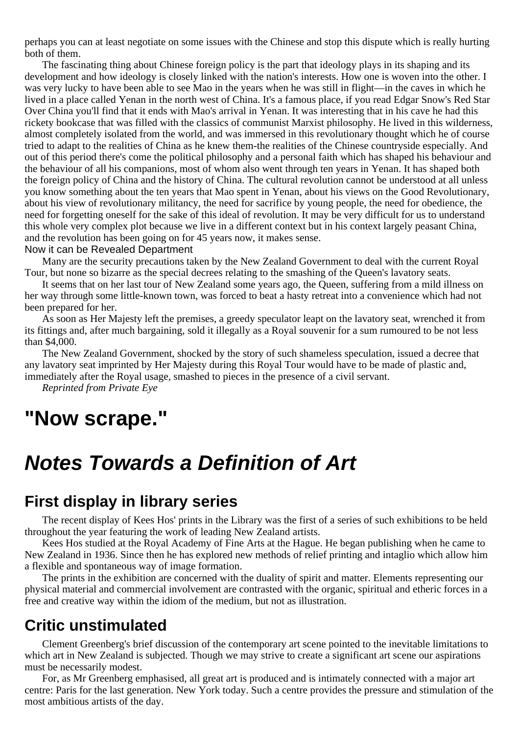perhaps you can at least negotiate on some issues with the Chinese and stop this dispute which is really hurting both of them.

The fascinating thing about Chinese foreign policy is the part that ideology plays in its shaping and its development and how ideology is closely linked with the nation's interests. How one is woven into the other. I was very lucky to have been able to see Mao in the years when he was still in flight—in the caves in which he lived in a place called Yenan in the north west of China. It's a famous place, if you read Edgar Snow's Red Star Over China you'll find that it ends with Mao's arrival in Yenan. It was interesting that in his cave he had this rickety bookcase that was filled with the classics of communist Marxist philosophy. He lived in this wilderness, almost completely isolated from the world, and was immersed in this revolutionary thought which he of course tried to adapt to the realities of China as he knew them-the realities of the Chinese countryside especially. And out of this period there's come the political philosophy and a personal faith which has shaped his behaviour and the behaviour of all his companions, most of whom also went through ten years in Yenan. It has shaped both the foreign policy of China and the history of China. The cultural revolution cannot be understood at all unless you know something about the ten years that Mao spent in Yenan, about his views on the Good Revolutionary, about his view of revolutionary militancy, the need for sacrifice by young people, the need for obedience, the need for forgetting oneself for the sake of this ideal of revolution. It may be very difficult for us to understand this whole very complex plot because we live in a different context but in his context largely peasant China, and the revolution has been going on for 45 years now, it makes sense.

#### Now it can be Revealed Department

Many are the security precautions taken by the New Zealand Government to deal with the current Royal Tour, but none so bizarre as the special decrees relating to the smashing of the Queen's lavatory seats.

It seems that on her last tour of New Zealand some years ago, the Queen, suffering from a mild illness on her way through some little-known town, was forced to beat a hasty retreat into a convenience which had not been prepared for her.

As soon as Her Majesty left the premises, a greedy speculator leapt on the lavatory seat, wrenched it from its fittings and, after much bargaining, sold it illegally as a Royal souvenir for a sum rumoured to be not less than \$4,000.

The New Zealand Government, shocked by the story of such shameless speculation, issued a decree that any lavatory seat imprinted by Her Majesty during this Royal Tour would have to be made of plastic and, immediately after the Royal usage, smashed to pieces in the presence of a civil servant.

*Reprinted from Private Eye*

### **"Now scrape."**

### **Notes Towards a Definition of Art**

#### **First display in library series**

The recent display of Kees Hos' prints in the Library was the first of a series of such exhibitions to be held throughout the year featuring the work of leading New Zealand artists.

Kees Hos studied at the Royal Academy of Fine Arts at the Hague. He began publishing when he came to New Zealand in 1936. Since then he has explored new methods of relief printing and intaglio which allow him a flexible and spontaneous way of image formation.

The prints in the exhibition are concerned with the duality of spirit and matter. Elements representing our physical material and commercial involvement are contrasted with the organic, spiritual and etheric forces in a free and creative way within the idiom of the medium, but not as illustration.

#### **Critic unstimulated**

Clement Greenberg's brief discussion of the contemporary art scene pointed to the inevitable limitations to which art in New Zealand is subjected. Though we may strive to create a significant art scene our aspirations must be necessarily modest.

For, as Mr Greenberg emphasised, all great art is produced and is intimately connected with a major art centre: Paris for the last generation. New York today. Such a centre provides the pressure and stimulation of the most ambitious artists of the day.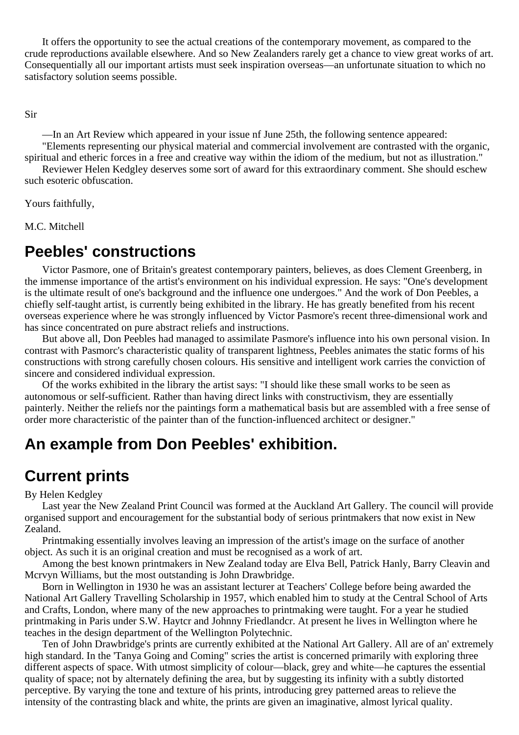It offers the opportunity to see the actual creations of the contemporary movement, as compared to the crude reproductions available elsewhere. And so New Zealanders rarely get a chance to view great works of art. Consequentially all our important artists must seek inspiration overseas—an unfortunate situation to which no satisfactory solution seems possible.

Sir

—In an Art Review which appeared in your issue nf June 25th, the following sentence appeared: "Elements representing our physical material and commercial involvement are contrasted with the organic, spiritual and etheric forces in a free and creative way within the idiom of the medium, but not as illustration."

Reviewer Helen Kedgley deserves some sort of award for this extraordinary comment. She should eschew such esoteric obfuscation.

Yours faithfully,

M.C. Mitchell

### **Peebles' constructions**

Victor Pasmore, one of Britain's greatest contemporary painters, believes, as does Clement Greenberg, in the immense importance of the artist's environment on his individual expression. He says: "One's development is the ultimate result of one's background and the influence one undergoes." And the work of Don Peebles, a chiefly self-taught artist, is currently being exhibited in the library. He has greatly benefited from his recent overseas experience where he was strongly influenced by Victor Pasmore's recent three-dimensional work and has since concentrated on pure abstract reliefs and instructions.

But above all, Don Peebles had managed to assimilate Pasmore's influence into his own personal vision. In contrast with Pasmorc's characteristic quality of transparent lightness, Peebles animates the static forms of his constructions with strong carefully chosen colours. His sensitive and intelligent work carries the conviction of sincere and considered individual expression.

Of the works exhibited in the library the artist says: "I should like these small works to be seen as autonomous or self-sufficient. Rather than having direct links with constructivism, they are essentially painterly. Neither the reliefs nor the paintings form a mathematical basis but are assembled with a free sense of order more characteristic of the painter than of the function-influenced architect or designer."

### **An example from Don Peebles' exhibition.**

### **Current prints**

#### By Helen Kedgley

Last year the New Zealand Print Council was formed at the Auckland Art Gallery. The council will provide organised support and encouragement for the substantial body of serious printmakers that now exist in New Zealand.

Printmaking essentially involves leaving an impression of the artist's image on the surface of another object. As such it is an original creation and must be recognised as a work of art.

Among the best known printmakers in New Zealand today are Elva Bell, Patrick Hanly, Barry Cleavin and Mcrvyn Williams, but the most outstanding is John Drawbridge.

Born in Wellington in 1930 he was an assistant lecturer at Teachers' College before being awarded the National Art Gallery Travelling Scholarship in 1957, which enabled him to study at the Central School of Arts and Crafts, London, where many of the new approaches to printmaking were taught. For a year he studied printmaking in Paris under S.W. Haytcr and Johnny Friedlandcr. At present he lives in Wellington where he teaches in the design department of the Wellington Polytechnic.

Ten of John Drawbridge's prints are currently exhibited at the National Art Gallery. All are of an' extremely high standard. In the 'Tanya Going and Coming'' scries the artist is concerned primarily with exploring three different aspects of space. With utmost simplicity of colour—black, grey and white—he captures the essential quality of space; not by alternately defining the area, but by suggesting its infinity with a subtly distorted perceptive. By varying the tone and texture of his prints, introducing grey patterned areas to relieve the intensity of the contrasting black and white, the prints are given an imaginative, almost lyrical quality.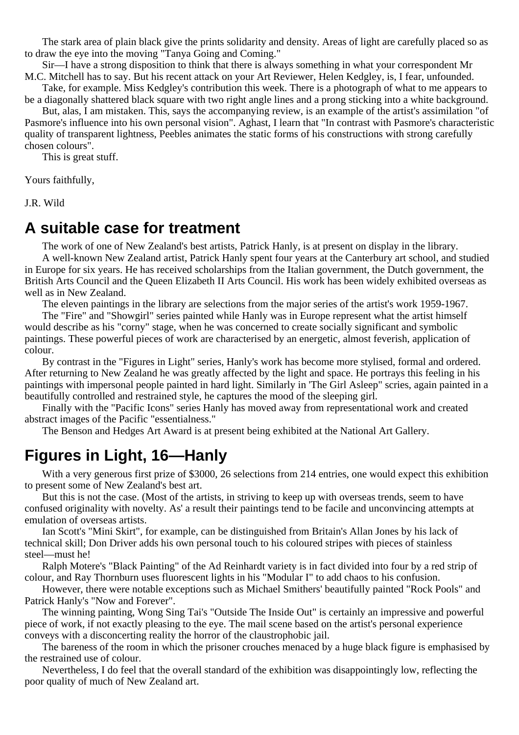The stark area of plain black give the prints solidarity and density. Areas of light are carefully placed so as to draw the eye into the moving "Tanya Going and Coming."

Sir—I have a strong disposition to think that there is always something in what your correspondent Mr M.C. Mitchell has to say. But his recent attack on your Art Reviewer, Helen Kedgley, is, I fear, unfounded.

Take, for example. Miss Kedgley's contribution this week. There is a photograph of what to me appears to be a diagonally shattered black square with two right angle lines and a prong sticking into a white background.

But, alas, I am mistaken. This, says the accompanying review, is an example of the artist's assimilation "of Pasmore's influence into his own personal vision". Aghast, I learn that "In contrast with Pasmore's characteristic quality of transparent lightness, Peebles animates the static forms of his constructions with strong carefully chosen colours".

This is great stuff.

Yours faithfully,

J.R. Wild

#### **A suitable case for treatment**

The work of one of New Zealand's best artists, Patrick Hanly, is at present on display in the library. A well-known New Zealand artist, Patrick Hanly spent four years at the Canterbury art school, and studied in Europe for six years. He has received scholarships from the Italian government, the Dutch government, the British Arts Council and the Queen Elizabeth II Arts Council. His work has been widely exhibited overseas as well as in New Zealand.

The eleven paintings in the library are selections from the major series of the artist's work 1959-1967.

The "Fire" and "Showgirl" series painted while Hanly was in Europe represent what the artist himself would describe as his "corny" stage, when he was concerned to create socially significant and symbolic paintings. These powerful pieces of work are characterised by an energetic, almost feverish, application of colour.

By contrast in the "Figures in Light" series, Hanly's work has become more stylised, formal and ordered. After returning to New Zealand he was greatly affected by the light and space. He portrays this feeling in his paintings with impersonal people painted in hard light. Similarly in 'The Girl Asleep" scries, again painted in a beautifully controlled and restrained style, he captures the mood of the sleeping girl.

Finally with the "Pacific Icons" series Hanly has moved away from representational work and created abstract images of the Pacific "essentialness."

The Benson and Hedges Art Award is at present being exhibited at the National Art Gallery.

#### **Figures in Light, 16—Hanly**

With a very generous first prize of \$3000, 26 selections from 214 entries, one would expect this exhibition to present some of New Zealand's best art.

But this is not the case. (Most of the artists, in striving to keep up with overseas trends, seem to have confused originality with novelty. As' a result their paintings tend to be facile and unconvincing attempts at emulation of overseas artists.

Ian Scott's "Mini Skirt", for example, can be distinguished from Britain's Allan Jones by his lack of technical skill; Don Driver adds his own personal touch to his coloured stripes with pieces of stainless steel—must he!

Ralph Motere's "Black Painting" of the Ad Reinhardt variety is in fact divided into four by a red strip of colour, and Ray Thornburn uses fluorescent lights in his "Modular I" to add chaos to his confusion.

However, there were notable exceptions such as Michael Smithers' beautifully painted "Rock Pools" and Patrick Hanly's "Now and Forever".

The winning painting, Wong Sing Tai's "Outside The Inside Out" is certainly an impressive and powerful piece of work, if not exactly pleasing to the eye. The mail scene based on the artist's personal experience conveys with a disconcerting reality the horror of the claustrophobic jail.

The bareness of the room in which the prisoner crouches menaced by a huge black figure is emphasised by the restrained use of colour.

Nevertheless, I do feel that the overall standard of the exhibition was disappointingly low, reflecting the poor quality of much of New Zealand art.